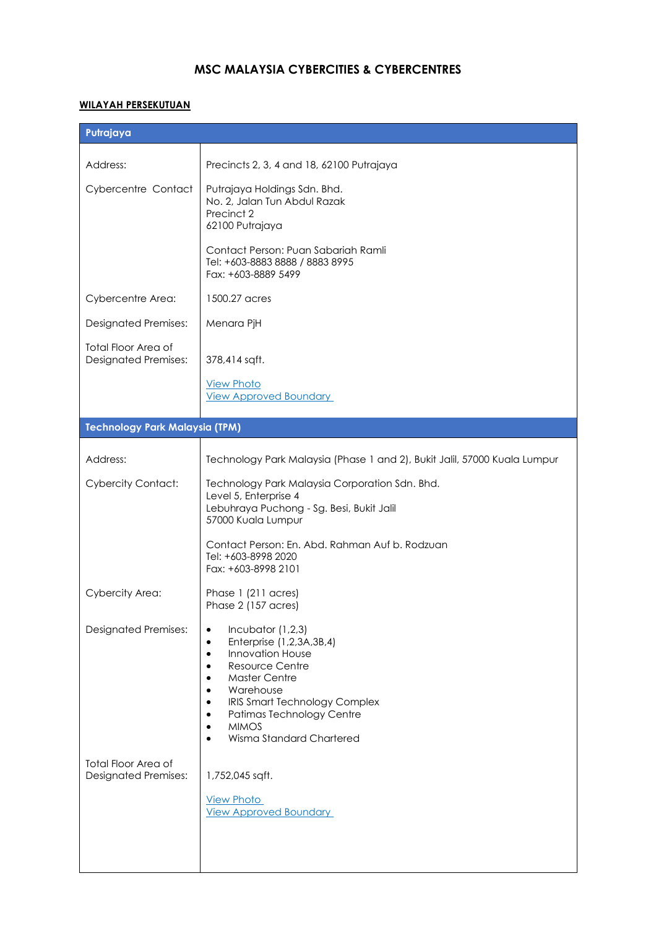# **MSC MALAYSIA CYBERCITIES & CYBERCENTRES**

### **WILAYAH PERSEKUTUAN**

| Putrajaya                                                 |                                                                                                                                                                                                                                                                                                                           |
|-----------------------------------------------------------|---------------------------------------------------------------------------------------------------------------------------------------------------------------------------------------------------------------------------------------------------------------------------------------------------------------------------|
| Address:                                                  | Precincts 2, 3, 4 and 18, 62100 Putrajaya                                                                                                                                                                                                                                                                                 |
| Cybercentre Contact                                       | Putrajaya Holdings Sdn. Bhd.<br>No. 2, Jalan Tun Abdul Razak<br>Precinct 2<br>62100 Putrajaya                                                                                                                                                                                                                             |
|                                                           | Contact Person: Puan Sabariah Ramli<br>Tel: +603-8883 8888 / 8883 8995<br>Fax: +603-8889 5499                                                                                                                                                                                                                             |
| Cybercentre Area:                                         | 1500.27 acres                                                                                                                                                                                                                                                                                                             |
| <b>Designated Premises:</b>                               | Menara PjH                                                                                                                                                                                                                                                                                                                |
| <b>Total Floor Area of</b><br><b>Designated Premises:</b> | 378,414 sqft.                                                                                                                                                                                                                                                                                                             |
|                                                           | <b>View Photo</b><br><b>View Approved Boundary</b>                                                                                                                                                                                                                                                                        |
| <b>Technology Park Malaysia (TPM)</b>                     |                                                                                                                                                                                                                                                                                                                           |
| Address:                                                  | Technology Park Malaysia (Phase 1 and 2), Bukit Jalil, 57000 Kuala Lumpur                                                                                                                                                                                                                                                 |
| <b>Cybercity Contact:</b>                                 | Technology Park Malaysia Corporation Sdn. Bhd.<br>Level 5, Enterprise 4<br>Lebuhraya Puchong - Sg. Besi, Bukit Jalil<br>57000 Kuala Lumpur                                                                                                                                                                                |
|                                                           | Contact Person: En. Abd. Rahman Auf b. Rodzuan<br>Tel: +603-8998 2020<br>Fax: +603-8998 2101                                                                                                                                                                                                                              |
| <b>Cybercity Area:</b>                                    | Phase 1 (211 acres)<br>Phase 2 (157 acres)                                                                                                                                                                                                                                                                                |
| <b>Designated Premises:</b>                               | Incubator $(1,2,3)$<br>٠<br>Enterprise (1,2,3A,3B,4)<br>٠<br><b>Innovation House</b><br>$\bullet$<br>Resource Centre<br>٠<br><b>Master Centre</b><br>$\bullet$<br>Warehouse<br>$\bullet$<br>IRIS Smart Technology Complex<br>٠<br>Patimas Technology Centre<br><b>MIMOS</b><br>٠<br>Wisma Standard Chartered<br>$\bullet$ |
| Total Floor Area of<br><b>Designated Premises:</b>        | 1,752,045 sqft.<br><b>View Photo</b><br><b>View Approved Boundary</b>                                                                                                                                                                                                                                                     |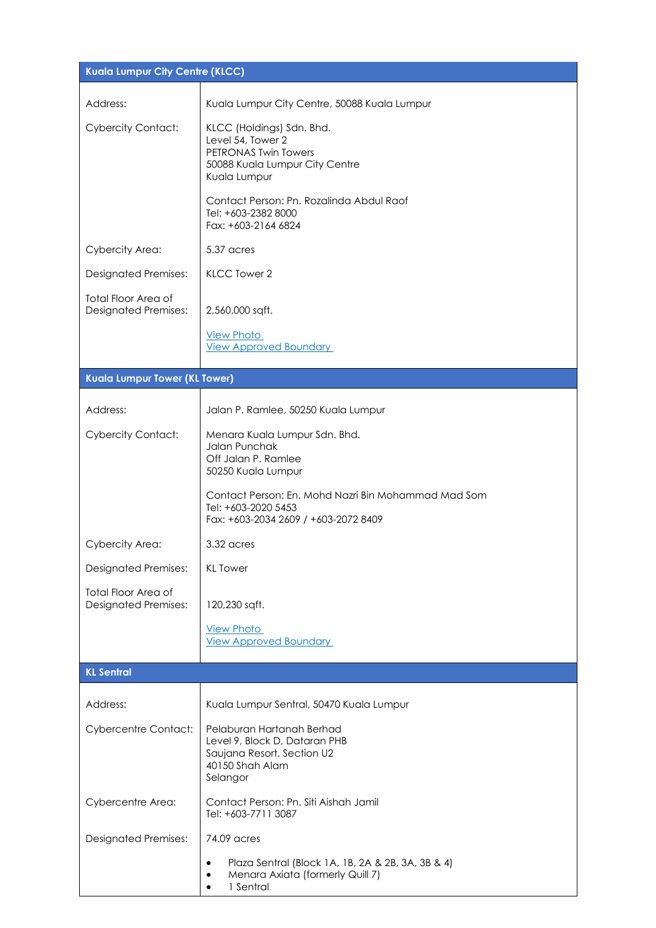| Kuala Lumpur City Centre (KLCC)                           |                                                                                                                              |
|-----------------------------------------------------------|------------------------------------------------------------------------------------------------------------------------------|
| Address:                                                  | Kuala Lumpur City Centre, 50088 Kuala Lumpur                                                                                 |
| <b>Cybercity Contact:</b>                                 | KLCC (Holdings) Sdn. Bhd.<br>Level 54, Tower 2<br>PETRONAS Twin Towers<br>50088 Kuala Lumpur City Centre<br>Kuala Lumpur     |
|                                                           | Contact Person: Pn. Rozalinda Abdul Raof<br>Tel: +603-2382 8000<br>Fax: +603-2164 6824                                       |
| Cybercity Area:                                           | 5.37 acres                                                                                                                   |
| <b>Designated Premises:</b>                               | KLCC Tower 2                                                                                                                 |
| <b>Total Floor Area of</b><br><b>Designated Premises:</b> | 2,560,000 sqft.                                                                                                              |
|                                                           | <b>View Photo</b><br><b>View Approved Boundary</b>                                                                           |
| Kuala Lumpur Tower (KL Tower)                             |                                                                                                                              |
| Address:                                                  | Jalan P. Ramlee, 50250 Kuala Lumpur                                                                                          |
| <b>Cybercity Contact:</b>                                 | Menara Kuala Lumpur Sdn. Bhd.<br>Jalan Punchak<br>Off Jalan P. Ramlee<br>50250 Kuala Lumpur                                  |
|                                                           | Contact Person: En. Mohd Nazri Bin Mohammad Mad Som<br>Tel: +603-2020 5453<br>Fax: +603-2034 2609 / +603-2072 8409           |
| Cybercity Area:                                           | 3.32 acres                                                                                                                   |
| <b>Designated Premises:</b>                               | <b>KL</b> Tower                                                                                                              |
| <b>Total Floor Area of</b><br><b>Designated Premises:</b> | 120,230 sqft.                                                                                                                |
|                                                           | <b>View Photo</b><br><b>View Approved Boundary</b>                                                                           |
| <b>KL Sentral</b>                                         |                                                                                                                              |
| Address:                                                  | Kuala Lumpur Sentral, 50470 Kuala Lumpur                                                                                     |
| <b>Cybercentre Contact:</b>                               | Pelaburan Hartanah Berhad<br>Level 9, Block D, Dataran PHB<br>Saujana Resort, Section U2<br>40150 Shah Alam<br>Selangor      |
| Cybercentre Area:                                         | Contact Person: Pn. Siti Aishah Jamil<br>Tel: +603-7711 3087                                                                 |
| <b>Designated Premises:</b>                               | 74.09 acres                                                                                                                  |
|                                                           | Plaza Sentral (Block 1A, 1B, 2A & 2B, 3A, 3B & 4)<br>$\bullet$<br>Menara Axiata (formerly Quill 7)<br>$\bullet$<br>1 Sentral |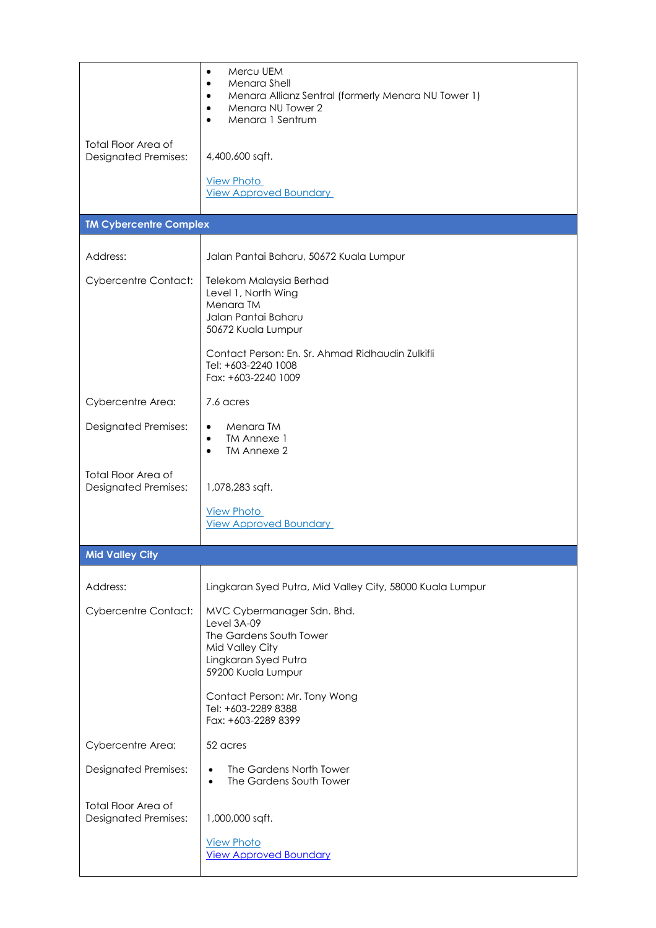|                                                           | Mercu UEM<br>٠<br>Menara Shell<br>$\bullet$<br>Menara Allianz Sentral (formerly Menara NU Tower 1)<br>٠<br>Menara NU Tower 2<br>٠<br>Menara 1 Sentrum |
|-----------------------------------------------------------|-------------------------------------------------------------------------------------------------------------------------------------------------------|
| <b>Total Floor Area of</b><br><b>Designated Premises:</b> | 4,400,600 sqft.                                                                                                                                       |
|                                                           | <b>View Photo</b><br><b>View Approved Boundary</b>                                                                                                    |
| <b>TM Cybercentre Complex</b>                             |                                                                                                                                                       |
| Address:                                                  | Jalan Pantai Baharu, 50672 Kuala Lumpur                                                                                                               |
| <b>Cybercentre Contact:</b>                               | Telekom Malaysia Berhad<br>Level 1, North Wing<br>Menara TM<br>Jalan Pantai Baharu<br>50672 Kuala Lumpur                                              |
|                                                           | Contact Person: En. Sr. Ahmad Ridhaudin Zulkifli<br>Tel: +603-2240 1008<br>Fax: +603-2240 1009                                                        |
| Cybercentre Area:                                         | 7.6 acres                                                                                                                                             |
| <b>Designated Premises:</b>                               | Menara TM<br>$\bullet$<br>TM Annexe 1<br>$\bullet$<br>TM Annexe 2                                                                                     |
| <b>Total Floor Area of</b><br><b>Designated Premises:</b> | 1,078,283 sqft.                                                                                                                                       |
|                                                           | <b>View Photo</b><br><b>View Approved Boundary</b>                                                                                                    |
| <b>Mid Valley City</b>                                    |                                                                                                                                                       |
| Address:                                                  | Lingkaran Syed Putra, Mid Valley City, 58000 Kuala Lumpur                                                                                             |
| <b>Cybercentre Contact:</b>                               | MVC Cybermanager Sdn. Bhd.<br>Level 3A-09<br>The Gardens South Tower<br>Mid Valley City<br>Lingkaran Syed Putra<br>59200 Kuala Lumpur                 |
|                                                           | Contact Person: Mr. Tony Wong<br>Tel: +603-2289 8388<br>Fax: +603-2289 8399                                                                           |
| Cybercentre Area:                                         | 52 acres                                                                                                                                              |
| <b>Designated Premises:</b>                               | The Gardens North Tower<br>$\bullet$<br>The Gardens South Tower<br>$\bullet$                                                                          |
| <b>Total Floor Area of</b><br><b>Designated Premises:</b> | 1,000,000 sqft.<br><b>View Photo</b><br><b>View Approved Boundary</b>                                                                                 |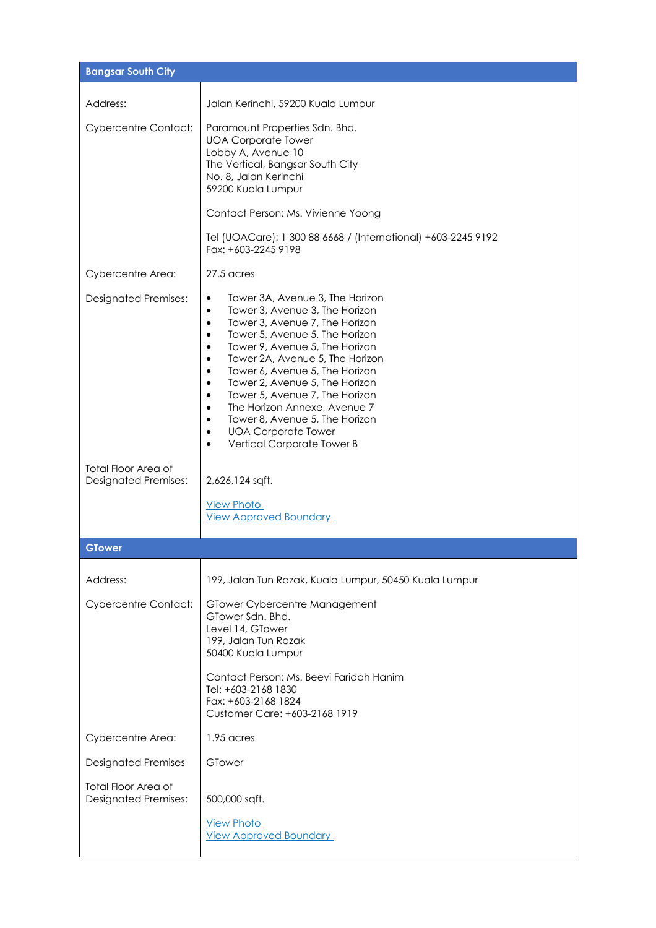| <b>Bangsar South City</b>                          |                                                                                                                                                                                                                                                                                                                                                                                                                                                                                                                                                                                                                         |
|----------------------------------------------------|-------------------------------------------------------------------------------------------------------------------------------------------------------------------------------------------------------------------------------------------------------------------------------------------------------------------------------------------------------------------------------------------------------------------------------------------------------------------------------------------------------------------------------------------------------------------------------------------------------------------------|
| Address:                                           | Jalan Kerinchi, 59200 Kuala Lumpur                                                                                                                                                                                                                                                                                                                                                                                                                                                                                                                                                                                      |
| <b>Cybercentre Contact:</b>                        | Paramount Properties Sdn. Bhd.<br><b>UOA Corporate Tower</b><br>Lobby A, Avenue 10<br>The Vertical, Bangsar South City<br>No. 8, Jalan Kerinchi<br>59200 Kuala Lumpur                                                                                                                                                                                                                                                                                                                                                                                                                                                   |
|                                                    | Contact Person: Ms. Vivienne Yoong                                                                                                                                                                                                                                                                                                                                                                                                                                                                                                                                                                                      |
|                                                    | Tel (UOACare): 1 300 88 6668 / (International) +603-2245 9192<br>Fax: +603-2245 9198                                                                                                                                                                                                                                                                                                                                                                                                                                                                                                                                    |
| Cybercentre Area:                                  | $27.5$ acres                                                                                                                                                                                                                                                                                                                                                                                                                                                                                                                                                                                                            |
| <b>Designated Premises:</b>                        | Tower 3A, Avenue 3, The Horizon<br>$\bullet$<br>Tower 3, Avenue 3, The Horizon<br>$\bullet$<br>Tower 3, Avenue 7, The Horizon<br>$\bullet$<br>Tower 5, Avenue 5, The Horizon<br>$\bullet$<br>Tower 9, Avenue 5, The Horizon<br>$\bullet$<br>Tower 2A, Avenue 5, The Horizon<br>$\bullet$<br>Tower 6, Avenue 5, The Horizon<br>$\bullet$<br>Tower 2, Avenue 5, The Horizon<br>$\bullet$<br>Tower 5, Avenue 7, The Horizon<br>$\bullet$<br>The Horizon Annexe, Avenue 7<br>$\bullet$<br>Tower 8, Avenue 5, The Horizon<br>$\bullet$<br><b>UOA Corporate Tower</b><br>$\bullet$<br>Vertical Corporate Tower B<br>$\bullet$ |
| Total Floor Area of<br><b>Designated Premises:</b> | 2,626,124 sqft.                                                                                                                                                                                                                                                                                                                                                                                                                                                                                                                                                                                                         |
|                                                    | <b>View Photo</b><br><b>View Approved Boundary</b>                                                                                                                                                                                                                                                                                                                                                                                                                                                                                                                                                                      |
| <b>GTower</b>                                      |                                                                                                                                                                                                                                                                                                                                                                                                                                                                                                                                                                                                                         |
| Address:                                           | 199, Jalan Tun Razak, Kuala Lumpur, 50450 Kuala Lumpur                                                                                                                                                                                                                                                                                                                                                                                                                                                                                                                                                                  |
| <b>Cybercentre Contact:</b>                        | GTower Cybercentre Management<br>GTower Sdn. Bhd.<br>Level 14, GTower<br>199, Jalan Tun Razak<br>50400 Kuala Lumpur<br>Contact Person: Ms. Beevi Faridah Hanim<br>Tel: +603-2168 1830<br>Fax: +603-2168 1824<br>Customer Care: +603-2168 1919                                                                                                                                                                                                                                                                                                                                                                           |
| Cybercentre Area:                                  | 1.95 acres                                                                                                                                                                                                                                                                                                                                                                                                                                                                                                                                                                                                              |
| <b>Designated Premises</b>                         | GTower                                                                                                                                                                                                                                                                                                                                                                                                                                                                                                                                                                                                                  |
| <b>Total Floor Area of</b>                         |                                                                                                                                                                                                                                                                                                                                                                                                                                                                                                                                                                                                                         |
| <b>Designated Premises:</b>                        | 500,000 sqft.<br><b>View Photo</b>                                                                                                                                                                                                                                                                                                                                                                                                                                                                                                                                                                                      |
|                                                    | <b>View Approved Boundary</b>                                                                                                                                                                                                                                                                                                                                                                                                                                                                                                                                                                                           |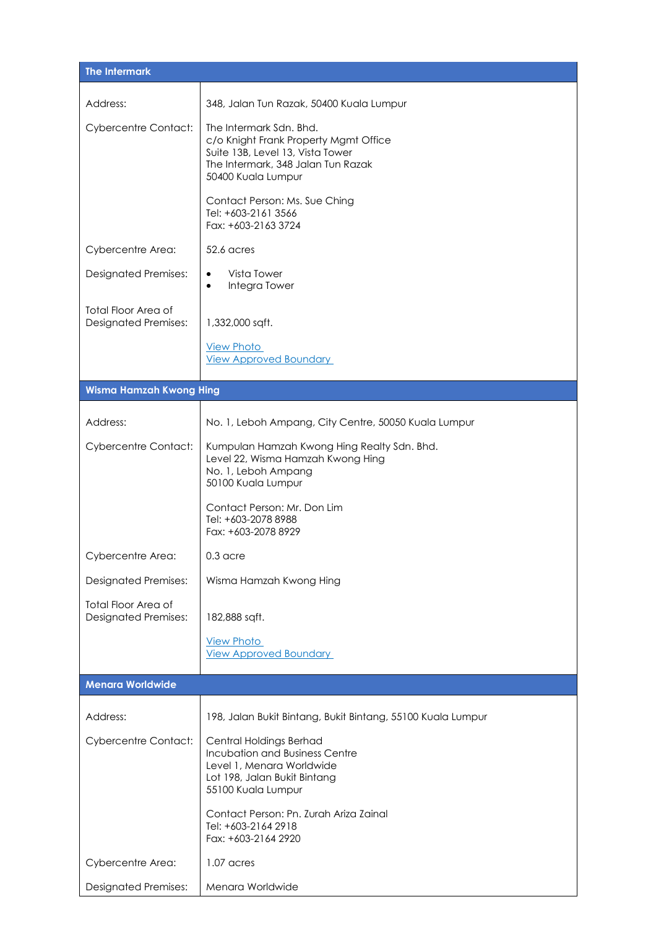| <b>The Intermark</b>                                      |                                                                                                                                                                  |
|-----------------------------------------------------------|------------------------------------------------------------------------------------------------------------------------------------------------------------------|
| Address:                                                  | 348, Jalan Tun Razak, 50400 Kuala Lumpur                                                                                                                         |
| <b>Cybercentre Contact:</b>                               | The Intermark Sdn. Bhd.<br>c/o Knight Frank Property Mgmt Office<br>Suite 13B, Level 13, Vista Tower<br>The Intermark, 348 Jalan Tun Razak<br>50400 Kuala Lumpur |
|                                                           | Contact Person: Ms. Sue Ching<br>Tel: +603-2161 3566<br>Fax: +603-2163 3724                                                                                      |
| Cybercentre Area:                                         | 52.6 acres                                                                                                                                                       |
| <b>Designated Premises:</b>                               | Vista Tower<br>$\bullet$<br>Integra Tower<br>$\bullet$                                                                                                           |
| <b>Total Floor Area of</b><br><b>Designated Premises:</b> | 1,332,000 sqft.                                                                                                                                                  |
|                                                           | <b>View Photo</b><br><b>View Approved Boundary</b>                                                                                                               |
| <b>Wisma Hamzah Kwong Hing</b>                            |                                                                                                                                                                  |
| Address:                                                  | No. 1, Leboh Ampang, City Centre, 50050 Kuala Lumpur                                                                                                             |
| <b>Cybercentre Contact:</b>                               | Kumpulan Hamzah Kwong Hing Realty Sdn. Bhd.<br>Level 22, Wisma Hamzah Kwong Hing<br>No. 1, Leboh Ampang<br>50100 Kuala Lumpur                                    |
|                                                           | Contact Person: Mr. Don Lim<br>Tel: +603-2078 8988<br>Fax: +603-2078 8929                                                                                        |
| Cybercentre Area:                                         | $0.3$ acre                                                                                                                                                       |
| <b>Designated Premises:</b>                               | Wisma Hamzah Kwong Hing                                                                                                                                          |
| Total Floor Area of<br><b>Designated Premises:</b>        | 182,888 sqft.                                                                                                                                                    |
|                                                           | <b>View Photo</b><br><b>View Approved Boundary</b>                                                                                                               |
| <b>Menara Worldwide</b>                                   |                                                                                                                                                                  |
| Address:                                                  | 198, Jalan Bukit Bintang, Bukit Bintang, 55100 Kuala Lumpur                                                                                                      |
| <b>Cybercentre Contact:</b>                               | Central Holdings Berhad<br><b>Incubation and Business Centre</b><br>Level 1, Menara Worldwide<br>Lot 198, Jalan Bukit Bintang<br>55100 Kuala Lumpur              |
|                                                           | Contact Person: Pn. Zurah Ariza Zainal<br>Tel: +603-2164 2918<br>Fax: +603-2164 2920                                                                             |
| Cybercentre Area:                                         | 1.07 acres                                                                                                                                                       |
| <b>Designated Premises:</b>                               | Menara Worldwide                                                                                                                                                 |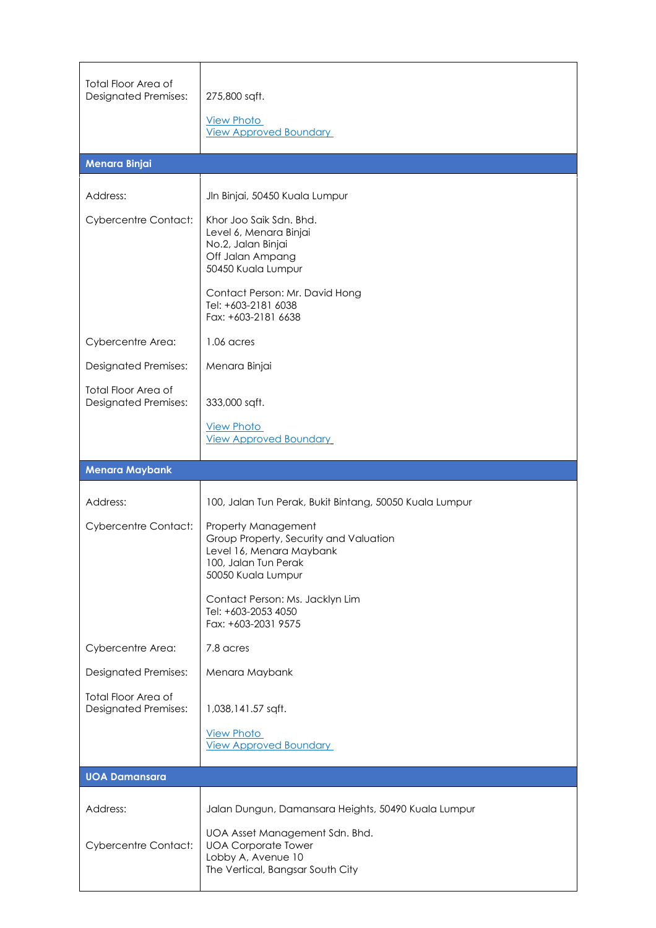| <b>Total Floor Area of</b><br><b>Designated Premises:</b> | 275,800 sqft.<br><b>View Photo</b><br><b>View Approved Boundary</b>                                                                     |
|-----------------------------------------------------------|-----------------------------------------------------------------------------------------------------------------------------------------|
| Menara Binjai                                             |                                                                                                                                         |
| Address:                                                  | Jln Binjai, 50450 Kuala Lumpur                                                                                                          |
| <b>Cybercentre Contact:</b>                               | Khor Joo Saik Sdn. Bhd.<br>Level 6, Menara Binjai<br>No.2, Jalan Binjai<br>Off Jalan Ampang<br>50450 Kuala Lumpur                       |
|                                                           | Contact Person: Mr. David Hong<br>Tel: +603-2181 6038<br>Fax: +603-2181 6638                                                            |
| Cybercentre Area:                                         | 1.06 acres                                                                                                                              |
| <b>Designated Premises:</b>                               | Menara Binjai                                                                                                                           |
| <b>Total Floor Area of</b><br><b>Designated Premises:</b> | 333,000 sqft.                                                                                                                           |
|                                                           | <b>View Photo</b><br><b>View Approved Boundary</b>                                                                                      |
| <b>Menara Maybank</b>                                     |                                                                                                                                         |
|                                                           |                                                                                                                                         |
| Address:                                                  | 100, Jalan Tun Perak, Bukit Bintang, 50050 Kuala Lumpur                                                                                 |
| <b>Cybercentre Contact:</b>                               | Property Management<br>Group Property, Security and Valuation<br>Level 16, Menara Maybank<br>100, Jalan Tun Perak<br>50050 Kuala Lumpur |
|                                                           | Contact Person: Ms. Jacklyn Lim<br>Tel: +603-2053 4050<br>Fax: +603-2031 9575                                                           |
| Cybercentre Area:                                         | 7.8 acres                                                                                                                               |
| <b>Designated Premises:</b>                               | Menara Maybank                                                                                                                          |
| <b>Total Floor Area of</b><br><b>Designated Premises:</b> | 1,038,141.57 sqft.                                                                                                                      |
|                                                           | <b>View Photo</b><br><b>View Approved Boundary</b>                                                                                      |
| <b>UOA Damansara</b>                                      |                                                                                                                                         |
| Address:                                                  | Jalan Dungun, Damansara Heights, 50490 Kuala Lumpur                                                                                     |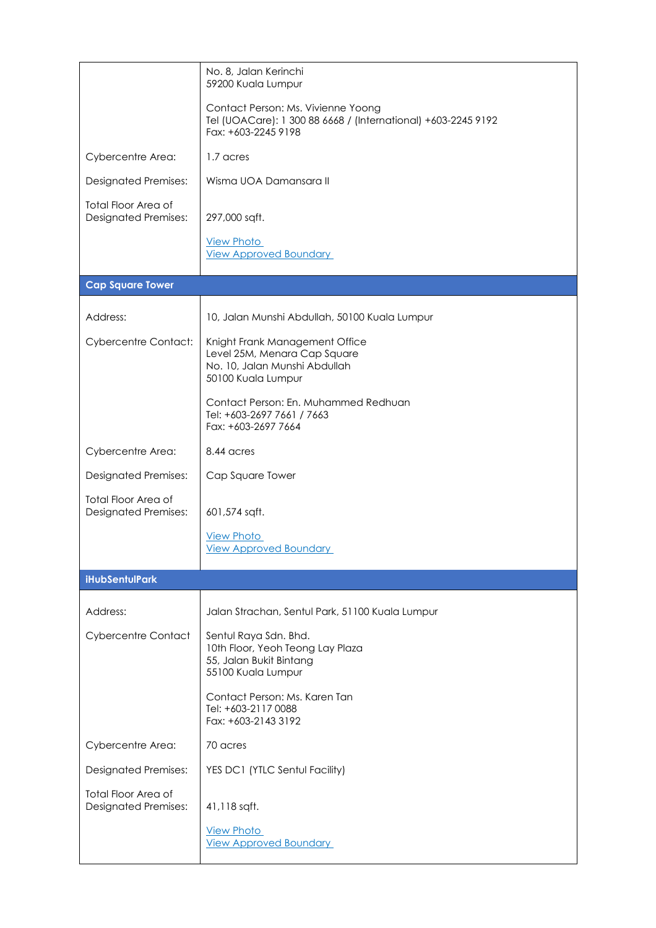|                                                           | No. 8, Jalan Kerinchi<br>59200 Kuala Lumpur                                                                                |
|-----------------------------------------------------------|----------------------------------------------------------------------------------------------------------------------------|
|                                                           | Contact Person: Ms. Vivienne Yoong<br>Tel (UOACare): 1 300 88 6668 / (International) +603-2245 9192<br>Fax: +603-2245 9198 |
| Cybercentre Area:                                         | 1.7 acres                                                                                                                  |
| <b>Designated Premises:</b>                               | Wisma UOA Damansara II                                                                                                     |
| <b>Total Floor Area of</b><br><b>Designated Premises:</b> | 297,000 sqft.                                                                                                              |
|                                                           | <b>View Photo</b><br><b>View Approved Boundary</b>                                                                         |
| <b>Cap Square Tower</b>                                   |                                                                                                                            |
| Address:                                                  | 10, Jalan Munshi Abdullah, 50100 Kuala Lumpur                                                                              |
| <b>Cybercentre Contact:</b>                               | Knight Frank Management Office<br>Level 25M, Menara Cap Square<br>No. 10, Jalan Munshi Abdullah<br>50100 Kuala Lumpur      |
|                                                           | Contact Person: En. Muhammed Redhuan<br>Tel: +603-2697 7661 / 7663<br>Fax: +603-2697 7664                                  |
| Cybercentre Area:                                         | 8.44 acres                                                                                                                 |
| <b>Designated Premises:</b>                               | Cap Square Tower                                                                                                           |
| <b>Total Floor Area of</b><br><b>Designated Premises:</b> | 601,574 sqft.                                                                                                              |
|                                                           | <b>View Photo</b><br><b>View Approved Boundary</b>                                                                         |
| <b>iHubSentulPark</b>                                     |                                                                                                                            |
| Address:                                                  | Jalan Strachan, Sentul Park, 51100 Kuala Lumpur                                                                            |
| <b>Cybercentre Contact</b>                                | Sentul Raya Sdn. Bhd.<br>10th Floor, Yeoh Teong Lay Plaza<br>55, Jalan Bukit Bintang<br>55100 Kuala Lumpur                 |
|                                                           | Contact Person: Ms. Karen Tan<br>Tel: +603-2117 0088<br>Fax: +603-2143 3192                                                |
| Cybercentre Area:                                         | 70 acres                                                                                                                   |
| <b>Designated Premises:</b>                               | YES DC1 (YTLC Sentul Facility)                                                                                             |
| Total Floor Area of<br><b>Designated Premises:</b>        | 41,118 sqft.                                                                                                               |
|                                                           | <b>View Photo</b><br><b>View Approved Boundary</b>                                                                         |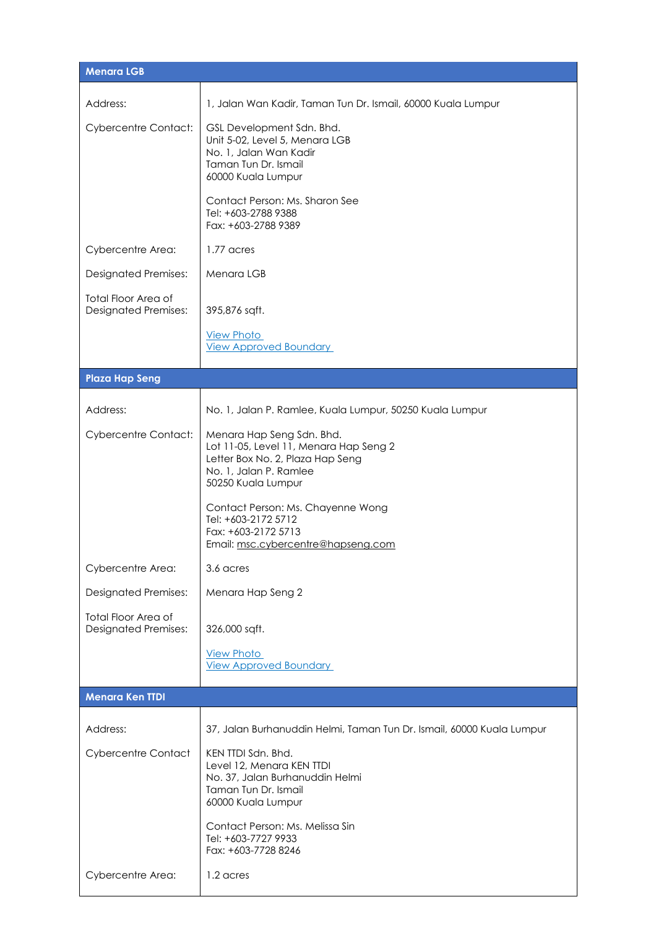| <b>Menara LGB</b>                                         |                                                                                                                                                         |
|-----------------------------------------------------------|---------------------------------------------------------------------------------------------------------------------------------------------------------|
| Address:                                                  | 1, Jalan Wan Kadir, Taman Tun Dr. Ismail, 60000 Kuala Lumpur                                                                                            |
| <b>Cybercentre Contact:</b>                               | GSL Development Sdn. Bhd.<br>Unit 5-02, Level 5, Menara LGB<br>No. 1, Jalan Wan Kadir<br>Taman Tun Dr. Ismail<br>60000 Kuala Lumpur                     |
|                                                           | Contact Person: Ms. Sharon See<br>Tel: +603-2788 9388<br>Fax: +603-2788 9389                                                                            |
| Cybercentre Area:                                         | 1.77 acres                                                                                                                                              |
| <b>Designated Premises:</b>                               | Menara LGB                                                                                                                                              |
| <b>Total Floor Area of</b><br><b>Designated Premises:</b> | 395,876 sqft.                                                                                                                                           |
|                                                           | <b>View Photo</b><br><b>View Approved Boundary</b>                                                                                                      |
| <b>Plaza Hap Seng</b>                                     |                                                                                                                                                         |
| Address:                                                  | No. 1, Jalan P. Ramlee, Kuala Lumpur, 50250 Kuala Lumpur                                                                                                |
| <b>Cybercentre Contact:</b>                               | Menara Hap Seng Sdn. Bhd.<br>Lot 11-05, Level 11, Menara Hap Seng 2<br>Letter Box No. 2, Plaza Hap Seng<br>No. 1, Jalan P. Ramlee<br>50250 Kuala Lumpur |
|                                                           | Contact Person: Ms. Chayenne Wong<br>Tel: +603-2172 5712<br>Fax: +603-2172 5713<br>Email: msc.cybercentre@hapseng.com                                   |
| Cybercentre Area:                                         | 3.6 acres                                                                                                                                               |
| <b>Designated Premises:</b>                               | Menara Hap Seng 2                                                                                                                                       |
| <b>Total Floor Area of</b><br><b>Designated Premises:</b> | 326,000 sqft.                                                                                                                                           |
|                                                           | <b>View Photo</b><br><b>View Approved Boundary</b>                                                                                                      |
| <b>Menara Ken TTDI</b>                                    |                                                                                                                                                         |
| Address:                                                  | 37, Jalan Burhanuddin Helmi, Taman Tun Dr. Ismail, 60000 Kuala Lumpur                                                                                   |
| <b>Cybercentre Contact</b>                                | KEN TTDI Sdn. Bhd.<br>Level 12, Menara KEN TTDI<br>No. 37, Jalan Burhanuddin Helmi<br>Taman Tun Dr. Ismail<br>60000 Kuala Lumpur                        |
|                                                           | Contact Person: Ms. Melissa Sin<br>Tel: +603-7727 9933<br>Fax: +603-7728 8246                                                                           |
| Cybercentre Area:                                         | 1.2 acres                                                                                                                                               |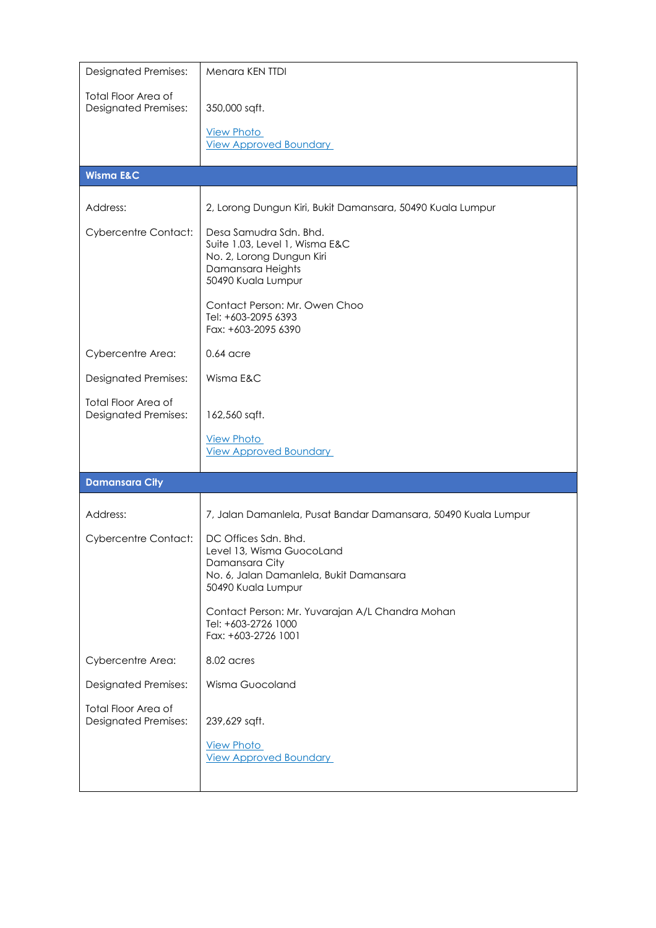| <b>Designated Premises:</b>                               | Menara KEN TTDI                                                                                                                      |
|-----------------------------------------------------------|--------------------------------------------------------------------------------------------------------------------------------------|
| <b>Total Floor Area of</b><br><b>Designated Premises:</b> | 350,000 sqft.                                                                                                                        |
|                                                           | <b>View Photo</b><br><b>View Approved Boundary</b>                                                                                   |
| <b>Wisma E&amp;C</b>                                      |                                                                                                                                      |
| Address:                                                  | 2, Lorong Dungun Kiri, Bukit Damansara, 50490 Kuala Lumpur                                                                           |
| <b>Cybercentre Contact:</b>                               | Desa Samudra Sdn. Bhd.<br>Suite 1.03, Level 1, Wisma E&C<br>No. 2, Lorong Dungun Kiri<br>Damansara Heights<br>50490 Kuala Lumpur     |
|                                                           | Contact Person: Mr. Owen Choo<br>Tel: +603-2095 6393<br>Fax: +603-2095 6390                                                          |
| Cybercentre Area:                                         | $0.64$ acre                                                                                                                          |
| <b>Designated Premises:</b>                               | Wisma E&C                                                                                                                            |
| <b>Total Floor Area of</b><br><b>Designated Premises:</b> | 162,560 sqft.                                                                                                                        |
|                                                           | <b>View Photo</b><br><b>View Approved Boundary</b>                                                                                   |
| <b>Damansara City</b>                                     |                                                                                                                                      |
| Address:                                                  | 7, Jalan Damanlela, Pusat Bandar Damansara, 50490 Kuala Lumpur                                                                       |
| <b>Cybercentre Contact:</b>                               | DC Offices Sdn. Bhd.<br>Level 13. Wisma GuocoLand<br>Damansara City<br>No. 6, Jalan Damanlela, Bukit Damansara<br>50490 Kuala Lumpur |
|                                                           | Contact Person: Mr. Yuvarajan A/L Chandra Mohan<br>Tel: +603-2726 1000<br>Fax: +603-2726 1001                                        |
| Cybercentre Area:                                         | 8.02 acres                                                                                                                           |
| <b>Designated Premises:</b>                               | Wisma Guocoland                                                                                                                      |
| <b>Total Floor Area of</b><br><b>Designated Premises:</b> | 239,629 sqft.<br><b>View Photo</b><br><b>View Approved Boundary</b>                                                                  |
|                                                           |                                                                                                                                      |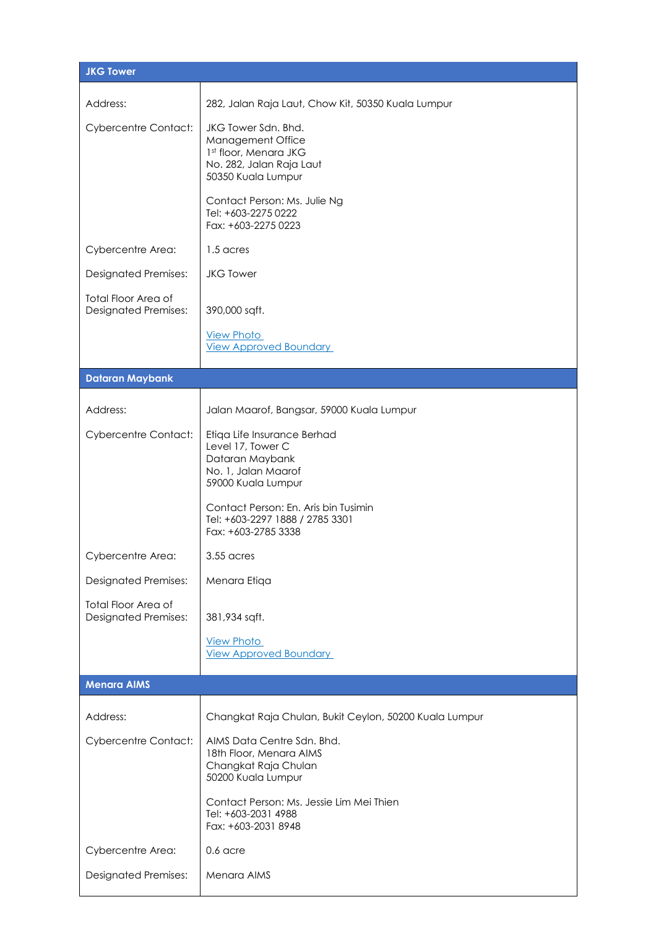| <b>JKG Tower</b>                                          |                                                                                                                     |  |
|-----------------------------------------------------------|---------------------------------------------------------------------------------------------------------------------|--|
| Address:                                                  | 282, Jalan Raja Laut, Chow Kit, 50350 Kuala Lumpur                                                                  |  |
| <b>Cybercentre Contact:</b>                               | JKG Tower Sdn. Bhd.<br>Management Office<br>1st floor, Menara JKG<br>No. 282, Jalan Raja Laut<br>50350 Kuala Lumpur |  |
|                                                           | Contact Person: Ms. Julie Ng<br>Tel: +603-2275 0222<br>Fax: +603-2275 0223                                          |  |
| Cybercentre Area:                                         | 1.5 acres                                                                                                           |  |
| <b>Designated Premises:</b>                               | <b>JKG Tower</b>                                                                                                    |  |
| <b>Total Floor Area of</b><br><b>Designated Premises:</b> | 390,000 sqft.                                                                                                       |  |
|                                                           | <b>View Photo</b><br><b>View Approved Boundary</b>                                                                  |  |
| <b>Dataran Maybank</b>                                    |                                                                                                                     |  |
| Address:                                                  | Jalan Maarof, Bangsar, 59000 Kuala Lumpur                                                                           |  |
| <b>Cybercentre Contact:</b>                               | Etiqa Life Insurance Berhad<br>Level 17, Tower C<br>Dataran Maybank<br>No. 1, Jalan Maarof<br>59000 Kuala Lumpur    |  |
|                                                           | Contact Person: En. Aris bin Tusimin<br>Tel: +603-2297 1888 / 2785 3301<br>Fax: +603-2785 3338                      |  |
| Cybercentre Area:                                         | 3.55 acres                                                                                                          |  |
| <b>Designated Premises:</b>                               | Menara Etiqa                                                                                                        |  |
| <b>Total Floor Area of</b><br><b>Designated Premises:</b> | 381,934 sqft.                                                                                                       |  |
|                                                           | <b>View Photo</b><br><b>View Approved Boundary</b>                                                                  |  |
| <b>Menara AIMS</b>                                        |                                                                                                                     |  |
|                                                           |                                                                                                                     |  |
| Address:                                                  | Changkat Raja Chulan, Bukit Ceylon, 50200 Kuala Lumpur                                                              |  |
| <b>Cybercentre Contact:</b>                               | AIMS Data Centre Sdn. Bhd.<br>18th Floor, Menara AIMS<br>Changkat Raja Chulan<br>50200 Kuala Lumpur                 |  |
|                                                           | Contact Person: Ms. Jessie Lim Mei Thien<br>Tel: +603-2031 4988<br>Fax: +603-2031 8948                              |  |
| Cybercentre Area:                                         | $0.6$ acre                                                                                                          |  |
| <b>Designated Premises:</b>                               | Menara AIMS                                                                                                         |  |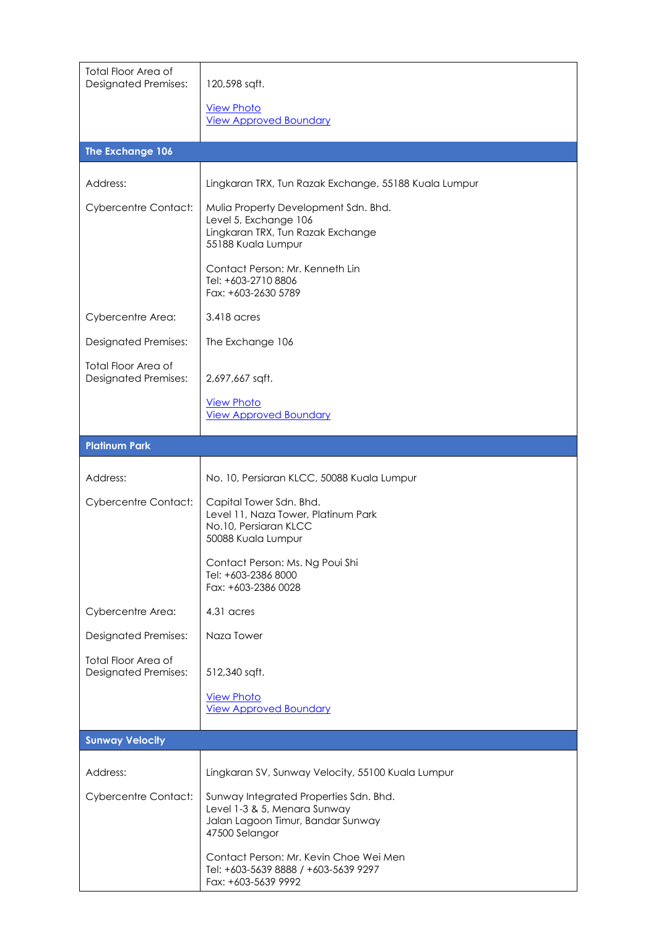| <b>Total Floor Area of</b><br><b>Designated Premises:</b> | 120,598 sqft.                                                                                                                 |
|-----------------------------------------------------------|-------------------------------------------------------------------------------------------------------------------------------|
|                                                           | <b>View Photo</b>                                                                                                             |
|                                                           | <b>View Approved Boundary</b>                                                                                                 |
| The Exchange 106                                          |                                                                                                                               |
| Address:                                                  | Lingkaran TRX, Tun Razak Exchange, 55188 Kuala Lumpur                                                                         |
| <b>Cybercentre Contact:</b>                               | Mulia Property Development Sdn. Bhd.<br>Level 5, Exchange 106<br>Lingkaran TRX, Tun Razak Exchange<br>55188 Kuala Lumpur      |
|                                                           | Contact Person: Mr. Kenneth Lin<br>Tel: +603-2710 8806<br>Fax: +603-2630 5789                                                 |
| Cybercentre Area:                                         | 3.418 acres                                                                                                                   |
| <b>Designated Premises:</b>                               | The Exchange 106                                                                                                              |
| <b>Total Floor Area of</b><br><b>Designated Premises:</b> | 2,697,667 sqft.                                                                                                               |
|                                                           | <b>View Photo</b><br><b>View Approved Boundary</b>                                                                            |
| <b>Platinum Park</b>                                      |                                                                                                                               |
| Address:                                                  | No. 10, Persiaran KLCC, 50088 Kuala Lumpur                                                                                    |
| <b>Cybercentre Contact:</b>                               | Capital Tower Sdn. Bhd.<br>Level 11, Naza Tower, Platinum Park<br>No.10, Persiaran KLCC<br>50088 Kuala Lumpur                 |
|                                                           | Contact Person: Ms. Ng Poui Shi<br>Tel: +603-2386 8000<br>Fax: +603-2386 0028                                                 |
| Cybercentre Area:                                         | 4.31 acres                                                                                                                    |
| <b>Designated Premises:</b>                               | Naza Tower                                                                                                                    |
| Total Floor Area of<br><b>Designated Premises:</b>        | 512,340 sqft.                                                                                                                 |
|                                                           | <b>View Photo</b><br><b>View Approved Boundary</b>                                                                            |
| <b>Sunway Velocity</b>                                    |                                                                                                                               |
| Address:                                                  | Lingkaran SV, Sunway Velocity, 55100 Kuala Lumpur                                                                             |
| <b>Cybercentre Contact:</b>                               | Sunway Integrated Properties Sdn. Bhd.<br>Level 1-3 & 5, Menara Sunway<br>Jalan Lagoon Timur, Bandar Sunway<br>47500 Selangor |
|                                                           | Contact Person: Mr. Kevin Choe Wei Men<br>Tel: +603-5639 8888 / +603-5639 9297<br>Fax: +603-5639 9992                         |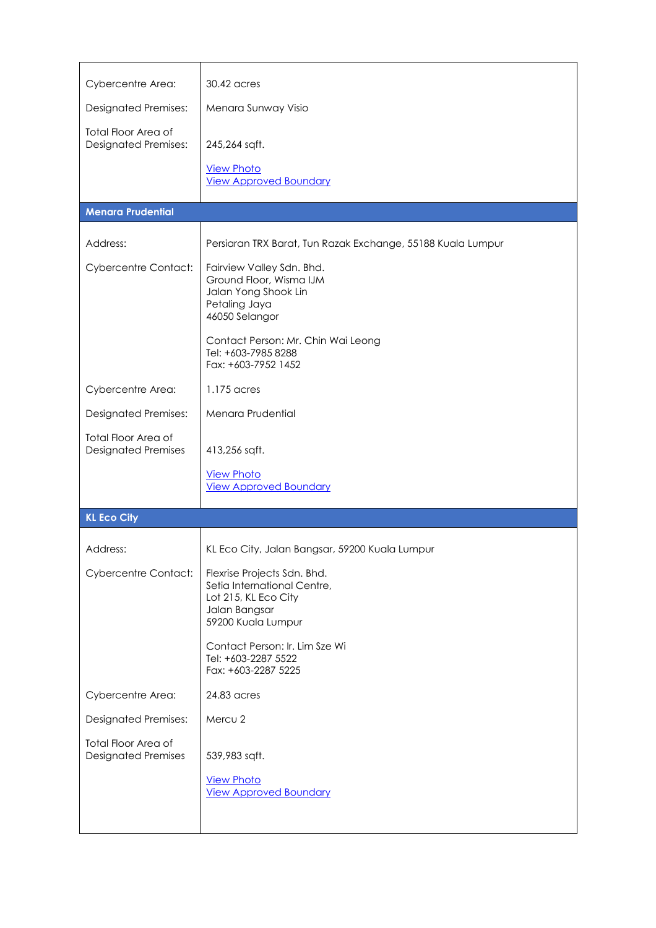| Cybercentre Area:                                         | 30.42 acres                                                                                                                                           |
|-----------------------------------------------------------|-------------------------------------------------------------------------------------------------------------------------------------------------------|
| <b>Designated Premises:</b>                               | Menara Sunway Visio                                                                                                                                   |
| <b>Total Floor Area of</b><br><b>Designated Premises:</b> | 245,264 sqft.<br><b>View Photo</b><br><b>View Approved Boundary</b>                                                                                   |
| <b>Menara Prudential</b>                                  |                                                                                                                                                       |
| Address:                                                  | Persiaran TRX Barat, Tun Razak Exchange, 55188 Kuala Lumpur                                                                                           |
| <b>Cybercentre Contact:</b>                               | Fairview Valley Sdn. Bhd.<br>Ground Floor, Wisma IJM<br>Jalan Yong Shook Lin<br>Petaling Jaya<br>46050 Selangor<br>Contact Person: Mr. Chin Wai Leong |
|                                                           | Tel: +603-7985 8288<br>Fax: +603-7952 1452                                                                                                            |
| Cybercentre Area:                                         | 1.175 acres                                                                                                                                           |
| <b>Designated Premises:</b>                               | Menara Prudential                                                                                                                                     |
| <b>Total Floor Area of</b><br><b>Designated Premises</b>  | 413,256 sqft.                                                                                                                                         |
|                                                           | <b>View Photo</b><br><b>View Approved Boundary</b>                                                                                                    |
| <b>KL Eco City</b>                                        |                                                                                                                                                       |
| Address:                                                  | KL Eco City, Jalan Bangsar, 59200 Kuala Lumpur                                                                                                        |
| <b>Cybercentre Contact:</b>                               | Flexrise Projects Sdn. Bhd.<br>Setia International Centre,<br>Lot 215, KL Eco City<br>Jalan Bangsar<br>59200 Kuala Lumpur                             |
|                                                           | Contact Person: Ir. Lim Sze Wi<br>Tel: +603-2287 5522<br>Fax: +603-2287 5225                                                                          |
| Cybercentre Area:                                         | 24.83 acres                                                                                                                                           |
| <b>Designated Premises:</b>                               | Mercu 2                                                                                                                                               |
| Total Floor Area of<br><b>Designated Premises</b>         | 539,983 sqft.                                                                                                                                         |
|                                                           | <b>View Photo</b><br><b>View Approved Boundary</b>                                                                                                    |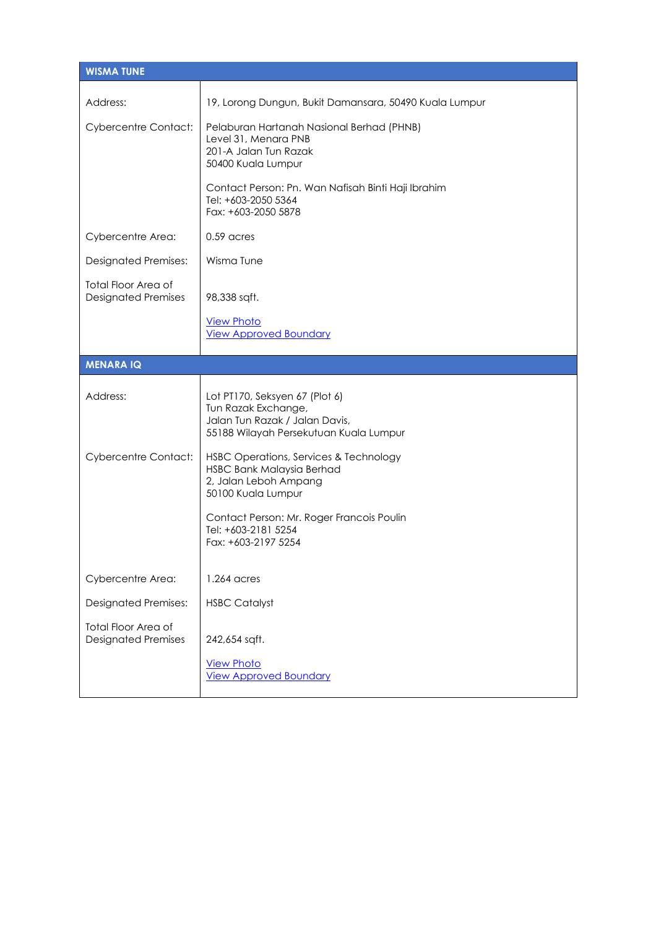| <b>WISMA TUNE</b>                                        |                                                                                                                                   |  |
|----------------------------------------------------------|-----------------------------------------------------------------------------------------------------------------------------------|--|
| Address:                                                 | 19, Lorong Dungun, Bukit Damansara, 50490 Kuala Lumpur                                                                            |  |
| <b>Cybercentre Contact:</b>                              | Pelaburan Hartanah Nasional Berhad (PHNB)<br>Level 31, Menara PNB<br>201-A Jalan Tun Razak<br>50400 Kuala Lumpur                  |  |
|                                                          | Contact Person: Pn. Wan Nafisah Binti Haji Ibrahim<br>Tel: +603-2050 5364<br>Fax: +603-2050 5878                                  |  |
| Cybercentre Area:                                        | 0.59 acres                                                                                                                        |  |
| <b>Designated Premises:</b>                              | Wisma Tune                                                                                                                        |  |
| <b>Total Floor Area of</b><br><b>Designated Premises</b> | 98,338 sqft.                                                                                                                      |  |
|                                                          | <b>View Photo</b><br><b>View Approved Boundary</b>                                                                                |  |
| <b>MENARA IQ</b>                                         |                                                                                                                                   |  |
| Address:                                                 | Lot PT170, Seksyen 67 (Plot 6)<br>Tun Razak Exchange,<br>Jalan Tun Razak / Jalan Davis,<br>55188 Wilayah Persekutuan Kuala Lumpur |  |
| <b>Cybercentre Contact:</b>                              | HSBC Operations, Services & Technology<br>HSBC Bank Malaysia Berhad<br>2, Jalan Leboh Ampang<br>50100 Kuala Lumpur                |  |
|                                                          | Contact Person: Mr. Roger Francois Poulin<br>Tel: +603-2181 5254<br>Fax: +603-2197 5254                                           |  |
| Cybercentre Area:                                        | 1.264 acres                                                                                                                       |  |
| <b>Designated Premises:</b>                              | <b>HSBC Catalyst</b>                                                                                                              |  |
|                                                          |                                                                                                                                   |  |
| <b>Total Floor Area of</b><br><b>Designated Premises</b> | 242,654 sqft.                                                                                                                     |  |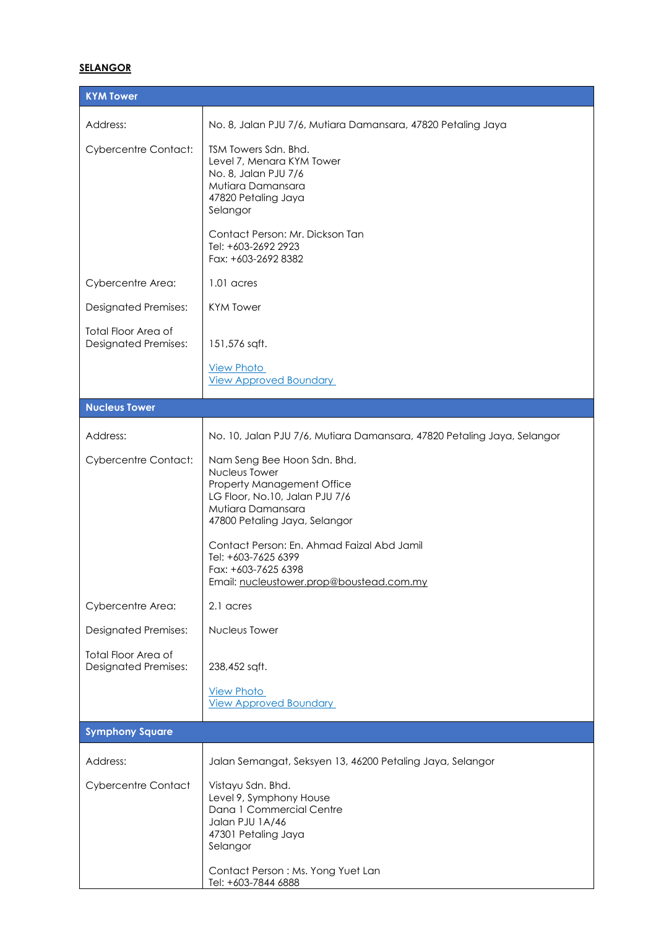# **SELANGOR**

| <b>KYM Tower</b>                                          |                                                                                                                                                                                                                                                                                                            |
|-----------------------------------------------------------|------------------------------------------------------------------------------------------------------------------------------------------------------------------------------------------------------------------------------------------------------------------------------------------------------------|
| Address:                                                  | No. 8, Jalan PJU 7/6, Mutiara Damansara, 47820 Petaling Jaya                                                                                                                                                                                                                                               |
| <b>Cybercentre Contact:</b>                               | TSM Towers Sdn. Bhd.<br>Level 7, Menara KYM Tower<br>No. 8, Jalan PJU 7/6<br>Mutiara Damansara<br>47820 Petaling Jaya<br>Selangor                                                                                                                                                                          |
|                                                           | Contact Person: Mr. Dickson Tan<br>Tel: +603-2692 2923<br>Fax: +603-2692 8382                                                                                                                                                                                                                              |
| Cybercentre Area:                                         | 1.01 acres                                                                                                                                                                                                                                                                                                 |
| <b>Designated Premises:</b>                               | <b>KYM Tower</b>                                                                                                                                                                                                                                                                                           |
| <b>Total Floor Area of</b><br><b>Designated Premises:</b> | 151,576 sqft.                                                                                                                                                                                                                                                                                              |
|                                                           | <b>View Photo</b><br><b>View Approved Boundary</b>                                                                                                                                                                                                                                                         |
| <b>Nucleus Tower</b>                                      |                                                                                                                                                                                                                                                                                                            |
| Address:                                                  | No. 10, Jalan PJU 7/6, Mutiara Damansara, 47820 Petaling Jaya, Selangor                                                                                                                                                                                                                                    |
| <b>Cybercentre Contact:</b>                               | Nam Seng Bee Hoon Sdn. Bhd.<br>Nucleus Tower<br>Property Management Office<br>LG Floor, No.10, Jalan PJU 7/6<br>Mutiara Damansara<br>47800 Petaling Jaya, Selangor<br>Contact Person: En. Ahmad Faizal Abd Jamil<br>Tel: +603-7625 6399<br>Fax: +603-7625 6398<br>Email: nucleustower.prop@boustead.com.my |
| Cybercentre Area:                                         | 2.1 acres                                                                                                                                                                                                                                                                                                  |
| <b>Designated Premises:</b>                               | Nucleus Tower                                                                                                                                                                                                                                                                                              |
| <b>Total Floor Area of</b><br><b>Designated Premises:</b> | 238,452 sqft.                                                                                                                                                                                                                                                                                              |
|                                                           | <b>View Photo</b><br><b>View Approved Boundary</b>                                                                                                                                                                                                                                                         |
| <b>Symphony Square</b>                                    |                                                                                                                                                                                                                                                                                                            |
| Address:                                                  | Jalan Semangat, Seksyen 13, 46200 Petaling Jaya, Selangor                                                                                                                                                                                                                                                  |
| <b>Cybercentre Contact</b>                                | Vistayu Sdn. Bhd.<br>Level 9, Symphony House<br>Dana 1 Commercial Centre<br>Jalan PJU 1A/46<br>47301 Petaling Jaya<br>Selangor<br>Contact Person: Ms. Yong Yuet Lan<br>Tel: +603-7844 6888                                                                                                                 |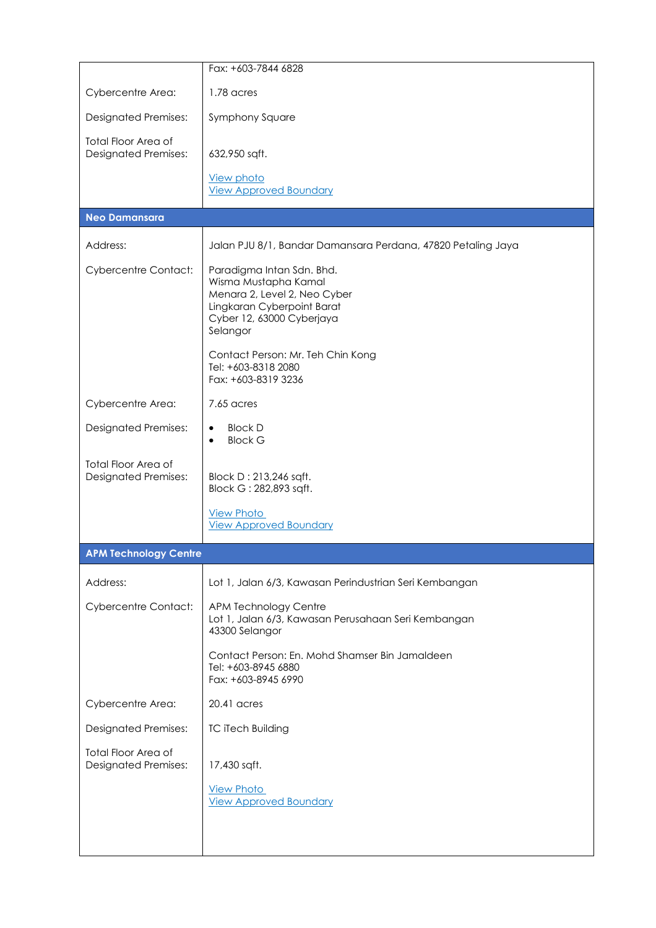|                                                           | Fax: +603-7844 6828                                                                                                                                                                                                  |
|-----------------------------------------------------------|----------------------------------------------------------------------------------------------------------------------------------------------------------------------------------------------------------------------|
| Cybercentre Area:                                         | 1.78 acres                                                                                                                                                                                                           |
| <b>Designated Premises:</b>                               | Symphony Square                                                                                                                                                                                                      |
| Total Floor Area of<br><b>Designated Premises:</b>        | 632,950 sqft.                                                                                                                                                                                                        |
|                                                           | <b>View photo</b><br><b>View Approved Boundary</b>                                                                                                                                                                   |
| <b>Neo Damansara</b>                                      |                                                                                                                                                                                                                      |
| Address:                                                  | Jalan PJU 8/1, Bandar Damansara Perdana, 47820 Petaling Jaya                                                                                                                                                         |
| <b>Cybercentre Contact:</b>                               | Paradigma Intan Sdn. Bhd.<br>Wisma Mustapha Kamal<br>Menara 2, Level 2, Neo Cyber<br>Lingkaran Cyberpoint Barat<br>Cyber 12, 63000 Cyberjaya<br>Selangor<br>Contact Person: Mr. Teh Chin Kong<br>Tel: +603-8318 2080 |
|                                                           | Fax: +603-8319 3236                                                                                                                                                                                                  |
| Cybercentre Area:                                         | 7.65 acres                                                                                                                                                                                                           |
| <b>Designated Premises:</b>                               | <b>Block D</b><br>$\bullet$<br><b>Block G</b><br>$\bullet$                                                                                                                                                           |
| <b>Total Floor Area of</b><br><b>Designated Premises:</b> | Block D: 213,246 sqft.<br>Block G: 282,893 sqft.                                                                                                                                                                     |
|                                                           | <b>View Photo</b><br><b>View Approved Boundary</b>                                                                                                                                                                   |
| <b>APM Technology Centre</b>                              |                                                                                                                                                                                                                      |
| Address:                                                  | Lot 1, Jalan 6/3, Kawasan Perindustrian Seri Kembangan                                                                                                                                                               |
| <b>Cybercentre Contact:</b>                               | APM Technology Centre<br>Lot 1, Jalan 6/3, Kawasan Perusahaan Seri Kembangan<br>43300 Selangor                                                                                                                       |
|                                                           | Contact Person: En. Mohd Shamser Bin Jamaldeen<br>Tel: +603-8945 6880<br>Fax: +603-8945 6990                                                                                                                         |
| Cybercentre Area:                                         | 20.41 acres                                                                                                                                                                                                          |
| <b>Designated Premises:</b>                               | <b>TC iTech Building</b>                                                                                                                                                                                             |
| <b>Total Floor Area of</b><br><b>Designated Premises:</b> | 17,430 sqft.                                                                                                                                                                                                         |
|                                                           | <b>View Photo</b><br><b>View Approved Boundary</b>                                                                                                                                                                   |
|                                                           |                                                                                                                                                                                                                      |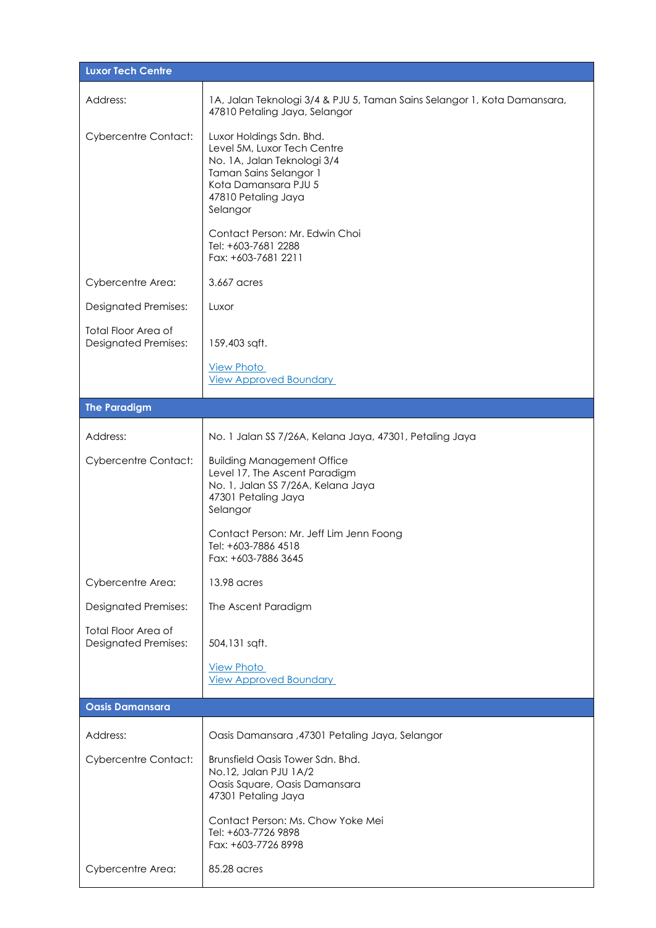| <b>Luxor Tech Centre</b>                                  |                                                                                                                                                                                                                                      |  |
|-----------------------------------------------------------|--------------------------------------------------------------------------------------------------------------------------------------------------------------------------------------------------------------------------------------|--|
| Address:                                                  | 1A, Jalan Teknologi 3/4 & PJU 5, Taman Sains Selangor 1, Kota Damansara,<br>47810 Petaling Jaya, Selangor                                                                                                                            |  |
| <b>Cybercentre Contact:</b>                               | Luxor Holdings Sdn. Bhd.<br>Level 5M, Luxor Tech Centre<br>No. 1A, Jalan Teknologi 3/4<br>Taman Sains Selangor 1<br>Kota Damansara PJU 5<br>47810 Petaling Jaya<br>Selangor<br>Contact Person: Mr. Edwin Choi<br>Tel: +603-7681 2288 |  |
|                                                           | Fax: +603-7681 2211                                                                                                                                                                                                                  |  |
| Cybercentre Area:                                         | 3.667 acres                                                                                                                                                                                                                          |  |
| <b>Designated Premises:</b>                               | Luxor                                                                                                                                                                                                                                |  |
| <b>Total Floor Area of</b><br><b>Designated Premises:</b> | 159,403 sqft.                                                                                                                                                                                                                        |  |
|                                                           | <b>View Photo</b><br><b>View Approved Boundary</b>                                                                                                                                                                                   |  |
| <b>The Paradigm</b>                                       |                                                                                                                                                                                                                                      |  |
| Address:                                                  | No. 1 Jalan SS 7/26A, Kelana Jaya, 47301, Petaling Jaya                                                                                                                                                                              |  |
| <b>Cybercentre Contact:</b>                               | <b>Building Management Office</b><br>Level 17, The Ascent Paradigm<br>No. 1, Jalan SS 7/26A, Kelana Jaya<br>47301 Petaling Jaya<br>Selangor<br>Contact Person: Mr. Jeff Lim Jenn Foong                                               |  |
|                                                           | Tel: +603-7886 4518<br>Fax: +603-7886 3645                                                                                                                                                                                           |  |
| Cybercentre Area:                                         | 13.98 acres                                                                                                                                                                                                                          |  |
| <b>Designated Premises:</b>                               | The Ascent Paradigm                                                                                                                                                                                                                  |  |
| <b>Total Floor Area of</b><br><b>Designated Premises:</b> | 504,131 sqft.                                                                                                                                                                                                                        |  |
|                                                           | <b>View Photo</b><br><b>View Approved Boundary</b>                                                                                                                                                                                   |  |
| <b>Oasis Damansara</b>                                    |                                                                                                                                                                                                                                      |  |
| Address:                                                  | Oasis Damansara ,47301 Petaling Jaya, Selangor                                                                                                                                                                                       |  |
| <b>Cybercentre Contact:</b>                               | Brunsfield Oasis Tower Sdn. Bhd.<br>No.12, Jalan PJU 1A/2<br>Oasis Square, Oasis Damansara<br>47301 Petaling Jaya                                                                                                                    |  |
|                                                           | Contact Person: Ms. Chow Yoke Mei<br>Tel: +603-7726 9898<br>Fax: +603-7726 8998                                                                                                                                                      |  |
| Cybercentre Area:                                         | 85.28 acres                                                                                                                                                                                                                          |  |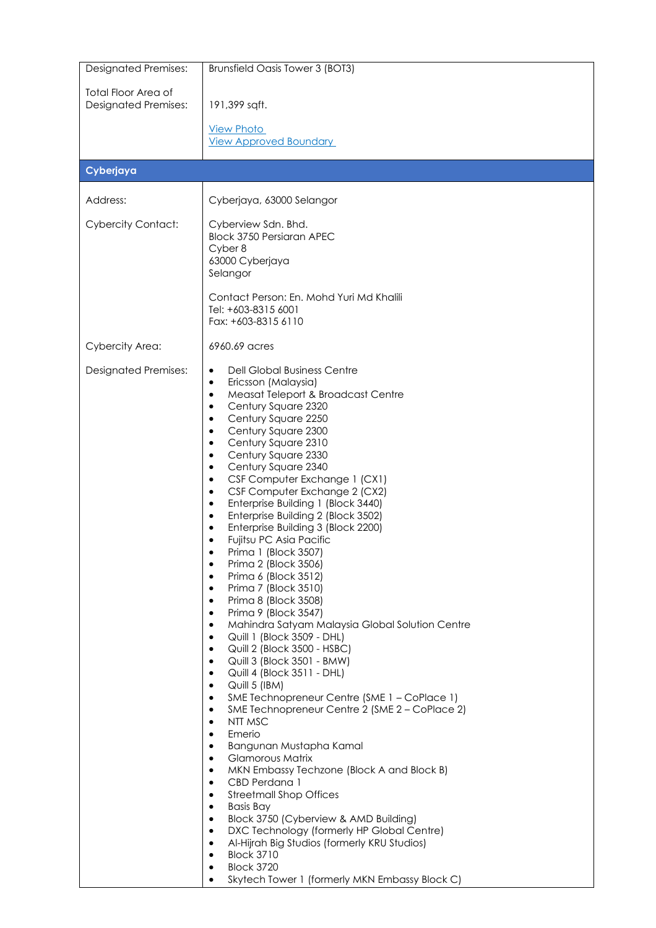| <b>Designated Premises:</b>                               | Brunsfield Oasis Tower 3 (BOT3)                                                                                                                                                                                                                                                                                                                                                                                                                                                                                                                                                                                                                                                                                                                                                                                                                                                                                                                                                                                                                                                                                                                                                                                                                                                                                                                                                                                                                                                                                                                                                                                                                                                                                                                                                    |
|-----------------------------------------------------------|------------------------------------------------------------------------------------------------------------------------------------------------------------------------------------------------------------------------------------------------------------------------------------------------------------------------------------------------------------------------------------------------------------------------------------------------------------------------------------------------------------------------------------------------------------------------------------------------------------------------------------------------------------------------------------------------------------------------------------------------------------------------------------------------------------------------------------------------------------------------------------------------------------------------------------------------------------------------------------------------------------------------------------------------------------------------------------------------------------------------------------------------------------------------------------------------------------------------------------------------------------------------------------------------------------------------------------------------------------------------------------------------------------------------------------------------------------------------------------------------------------------------------------------------------------------------------------------------------------------------------------------------------------------------------------------------------------------------------------------------------------------------------------|
| <b>Total Floor Area of</b><br><b>Designated Premises:</b> | 191,399 sqft.                                                                                                                                                                                                                                                                                                                                                                                                                                                                                                                                                                                                                                                                                                                                                                                                                                                                                                                                                                                                                                                                                                                                                                                                                                                                                                                                                                                                                                                                                                                                                                                                                                                                                                                                                                      |
|                                                           |                                                                                                                                                                                                                                                                                                                                                                                                                                                                                                                                                                                                                                                                                                                                                                                                                                                                                                                                                                                                                                                                                                                                                                                                                                                                                                                                                                                                                                                                                                                                                                                                                                                                                                                                                                                    |
|                                                           | <b>View Photo</b><br><b>View Approved Boundary</b>                                                                                                                                                                                                                                                                                                                                                                                                                                                                                                                                                                                                                                                                                                                                                                                                                                                                                                                                                                                                                                                                                                                                                                                                                                                                                                                                                                                                                                                                                                                                                                                                                                                                                                                                 |
| Cyberjaya                                                 |                                                                                                                                                                                                                                                                                                                                                                                                                                                                                                                                                                                                                                                                                                                                                                                                                                                                                                                                                                                                                                                                                                                                                                                                                                                                                                                                                                                                                                                                                                                                                                                                                                                                                                                                                                                    |
| Address:                                                  | Cyberjaya, 63000 Selangor                                                                                                                                                                                                                                                                                                                                                                                                                                                                                                                                                                                                                                                                                                                                                                                                                                                                                                                                                                                                                                                                                                                                                                                                                                                                                                                                                                                                                                                                                                                                                                                                                                                                                                                                                          |
| <b>Cybercity Contact:</b>                                 | Cyberview Sdn. Bhd.<br><b>Block 3750 Persiaran APEC</b><br>Cyber 8<br>63000 Cyberjaya                                                                                                                                                                                                                                                                                                                                                                                                                                                                                                                                                                                                                                                                                                                                                                                                                                                                                                                                                                                                                                                                                                                                                                                                                                                                                                                                                                                                                                                                                                                                                                                                                                                                                              |
|                                                           | Selangor                                                                                                                                                                                                                                                                                                                                                                                                                                                                                                                                                                                                                                                                                                                                                                                                                                                                                                                                                                                                                                                                                                                                                                                                                                                                                                                                                                                                                                                                                                                                                                                                                                                                                                                                                                           |
|                                                           | Contact Person: En. Mohd Yuri Md Khalili<br>Tel: +603-8315 6001<br>Fax: +603-8315 6110                                                                                                                                                                                                                                                                                                                                                                                                                                                                                                                                                                                                                                                                                                                                                                                                                                                                                                                                                                                                                                                                                                                                                                                                                                                                                                                                                                                                                                                                                                                                                                                                                                                                                             |
| <b>Cybercity Area:</b>                                    | 6960.69 acres                                                                                                                                                                                                                                                                                                                                                                                                                                                                                                                                                                                                                                                                                                                                                                                                                                                                                                                                                                                                                                                                                                                                                                                                                                                                                                                                                                                                                                                                                                                                                                                                                                                                                                                                                                      |
| <b>Designated Premises:</b>                               | <b>Dell Global Business Centre</b><br>$\bullet$<br>Ericsson (Malaysia)<br>$\bullet$<br>Measat Teleport & Broadcast Centre<br>٠<br>Century Square 2320<br>Century Square 2250<br>$\bullet$<br>Century Square 2300<br>$\bullet$<br>Century Square 2310<br>$\bullet$<br>Century Square 2330<br>$\bullet$<br>Century Square 2340<br>$\bullet$<br>CSF Computer Exchange 1 (CX1)<br>$\bullet$<br>CSF Computer Exchange 2 (CX2)<br>$\bullet$<br>Enterprise Building 1 (Block 3440)<br>$\bullet$<br>Enterprise Building 2 (Block 3502)<br>$\bullet$<br>Enterprise Building 3 (Block 2200)<br>٠<br>Fujitsu PC Asia Pacific<br>$\bullet$<br>Prima 1 (Block 3507)<br>Prima 2 (Block 3506)<br>$\bullet$<br>Prima 6 (Block 3512)<br>$\bullet$<br>Prima 7 (Block 3510)<br>$\bullet$<br>Prima 8 (Block 3508)<br>$\bullet$<br>Prima 9 (Block 3547)<br>٠<br>Mahindra Satyam Malaysia Global Solution Centre<br>٠<br>Quill 1 (Block 3509 - DHL)<br>٠<br>Quill 2 (Block 3500 - HSBC)<br>$\bullet$<br>Quill 3 (Block 3501 - BMW)<br>٠<br>Quill 4 (Block 3511 - DHL)<br>$\bullet$<br>Quill 5 (IBM)<br>٠<br>SME Technopreneur Centre (SME 1 - CoPlace 1)<br>٠<br>SME Technopreneur Centre 2 (SME 2 - CoPlace 2)<br>$\bullet$<br>NTT MSC<br>$\bullet$<br>Emerio<br>$\bullet$<br>Bangunan Mustapha Kamal<br>$\bullet$<br><b>Glamorous Matrix</b><br>$\bullet$<br>MKN Embassy Techzone (Block A and Block B)<br>٠<br>CBD Perdana 1<br>٠<br><b>Streetmall Shop Offices</b><br>$\bullet$<br><b>Basis Bay</b><br>٠<br>Block 3750 (Cyberview & AMD Building)<br>٠<br>DXC Technology (formerly HP Global Centre)<br>$\bullet$<br>Al-Hijrah Big Studios (formerly KRU Studios)<br>$\bullet$<br><b>Block 3710</b><br>$\bullet$<br><b>Block 3720</b><br>$\bullet$<br>Skytech Tower 1 (formerly MKN Embassy Block C) |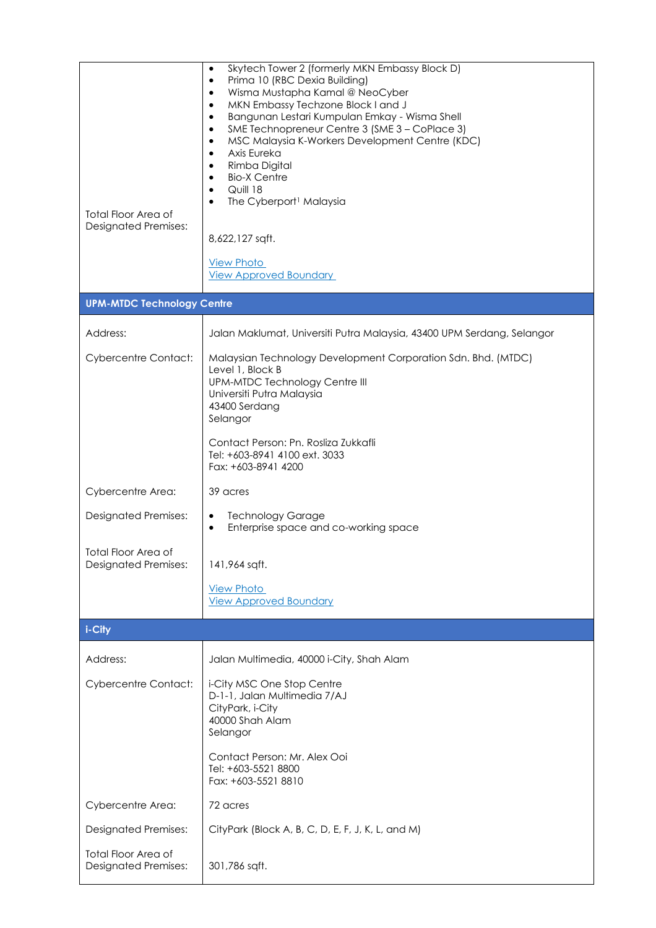| <b>Total Floor Area of</b><br><b>Designated Premises:</b> | Skytech Tower 2 (formerly MKN Embassy Block D)<br>$\bullet$<br>Prima 10 (RBC Dexia Building)<br>$\bullet$<br>Wisma Mustapha Kamal @ NeoCyber<br>$\bullet$<br>MKN Embassy Techzone Block I and J<br>$\bullet$<br>Bangunan Lestari Kumpulan Emkay - Wisma Shell<br>$\bullet$<br>SME Technopreneur Centre 3 (SME 3 - CoPlace 3)<br>$\bullet$<br>MSC Malaysia K-Workers Development Centre (KDC)<br>$\bullet$<br>Axis Eureka<br>$\bullet$<br>Rimba Digital<br>$\bullet$<br><b>Bio-X Centre</b><br>$\bullet$<br>Quill 18<br>$\bullet$<br>The Cyberport <sup>1</sup> Malaysia<br>$\bullet$<br>8,622,127 sqft.<br><b>View Photo</b><br><b>View Approved Boundary</b> |
|-----------------------------------------------------------|---------------------------------------------------------------------------------------------------------------------------------------------------------------------------------------------------------------------------------------------------------------------------------------------------------------------------------------------------------------------------------------------------------------------------------------------------------------------------------------------------------------------------------------------------------------------------------------------------------------------------------------------------------------|
| <b>UPM-MTDC Technology Centre</b>                         |                                                                                                                                                                                                                                                                                                                                                                                                                                                                                                                                                                                                                                                               |
| Address:                                                  | Jalan Maklumat, Universiti Putra Malaysia, 43400 UPM Serdang, Selangor                                                                                                                                                                                                                                                                                                                                                                                                                                                                                                                                                                                        |
| <b>Cybercentre Contact:</b>                               | Malaysian Technology Development Corporation Sdn. Bhd. (MTDC)<br>Level 1, Block B<br>UPM-MTDC Technology Centre III<br>Universiti Putra Malaysia<br>43400 Serdang<br>Selangor                                                                                                                                                                                                                                                                                                                                                                                                                                                                                 |
|                                                           | Contact Person: Pn. Rosliza Zukkafli<br>Tel: +603-8941 4100 ext. 3033<br>Fax: +603-8941 4200                                                                                                                                                                                                                                                                                                                                                                                                                                                                                                                                                                  |
| Cybercentre Area:                                         | 39 acres                                                                                                                                                                                                                                                                                                                                                                                                                                                                                                                                                                                                                                                      |
| <b>Designated Premises:</b>                               | <b>Technology Garage</b><br>٠<br>Enterprise space and co-working space                                                                                                                                                                                                                                                                                                                                                                                                                                                                                                                                                                                        |
| Total Floor Area of<br><b>Designated Premises:</b>        | 141,964 sqft.                                                                                                                                                                                                                                                                                                                                                                                                                                                                                                                                                                                                                                                 |
|                                                           | <b>View Photo</b><br><b>View Approved Boundary</b>                                                                                                                                                                                                                                                                                                                                                                                                                                                                                                                                                                                                            |
| i-City                                                    |                                                                                                                                                                                                                                                                                                                                                                                                                                                                                                                                                                                                                                                               |
| Address:                                                  | Jalan Multimedia, 40000 i-City, Shah Alam                                                                                                                                                                                                                                                                                                                                                                                                                                                                                                                                                                                                                     |
| <b>Cybercentre Contact:</b>                               | i-City MSC One Stop Centre<br>D-1-1, Jalan Multimedia 7/AJ<br>CityPark, i-City<br>40000 Shah Alam<br>Selangor                                                                                                                                                                                                                                                                                                                                                                                                                                                                                                                                                 |
|                                                           | Contact Person: Mr. Alex Ooi<br>Tel: +603-5521 8800<br>Fax: +603-5521 8810                                                                                                                                                                                                                                                                                                                                                                                                                                                                                                                                                                                    |
| Cybercentre Area:                                         | 72 acres                                                                                                                                                                                                                                                                                                                                                                                                                                                                                                                                                                                                                                                      |
| <b>Designated Premises:</b>                               | CityPark (Block A, B, C, D, E, F, J, K, L, and M)                                                                                                                                                                                                                                                                                                                                                                                                                                                                                                                                                                                                             |
| <b>Total Floor Area of</b><br><b>Designated Premises:</b> | 301,786 sqft.                                                                                                                                                                                                                                                                                                                                                                                                                                                                                                                                                                                                                                                 |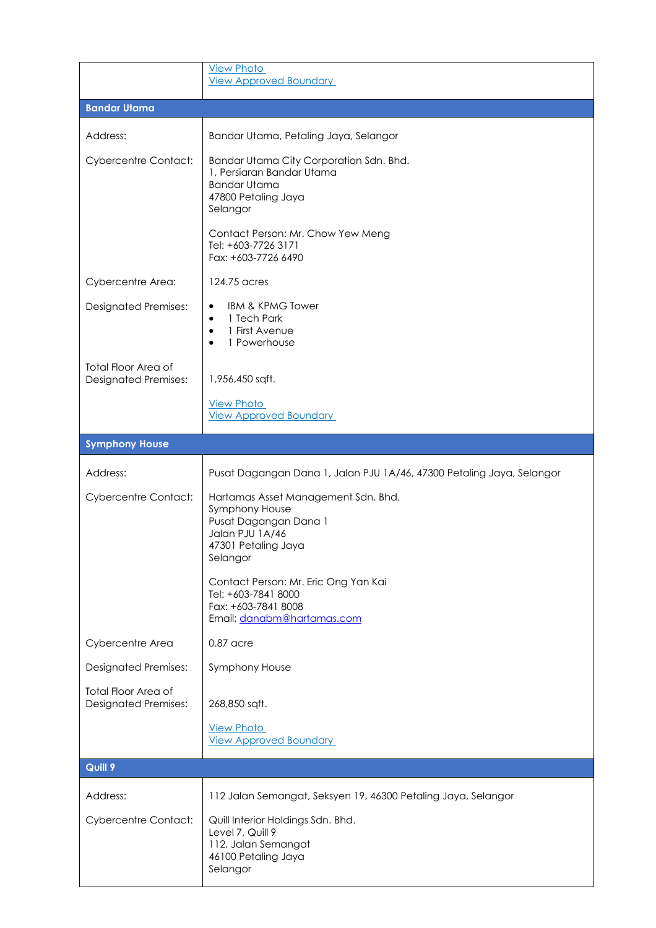|                                                           | <b>View Photo</b><br><b>View Approved Boundary</b>                                                                                                                  |
|-----------------------------------------------------------|---------------------------------------------------------------------------------------------------------------------------------------------------------------------|
| <b>Bandar Utama</b>                                       |                                                                                                                                                                     |
| Address:                                                  | Bandar Utama, Petaling Jaya, Selangor                                                                                                                               |
| <b>Cybercentre Contact:</b>                               | Bandar Utama City Corporation Sdn. Bhd.<br>1, Persiaran Bandar Utama<br><b>Bandar Utama</b><br>47800 Petaling Jaya<br>Selangor<br>Contact Person: Mr. Chow Yew Meng |
|                                                           | Tel: +603-7726 3171<br>Fax: +603-7726 6490                                                                                                                          |
| Cybercentre Area:                                         | 124.75 acres                                                                                                                                                        |
| <b>Designated Premises:</b>                               | <b>IBM &amp; KPMG Tower</b><br>$\bullet$<br>1 Tech Park<br>$\bullet$<br>1 First Avenue<br>$\bullet$<br>1 Powerhouse<br>٠                                            |
| <b>Total Floor Area of</b><br><b>Designated Premises:</b> | 1,956,450 sqft.                                                                                                                                                     |
|                                                           | <b>View Photo</b>                                                                                                                                                   |
|                                                           | <b>View Approved Boundary</b>                                                                                                                                       |
| <b>Symphony House</b>                                     |                                                                                                                                                                     |
| Address:                                                  | Pusat Dagangan Dana 1, Jalan PJU 1A/46, 47300 Petaling Jaya, Selangor                                                                                               |
| <b>Cybercentre Contact:</b>                               | Hartamas Asset Management Sdn. Bhd.<br>Symphony House<br>Pusat Dagangan Dana 1<br>Jalan PJU 1A/46<br>47301 Petaling Jaya<br>Selangor                                |
|                                                           | Contact Person: Mr. Eric Ong Yan Kai<br>Tel: +603-7841 8000<br>Fax: +603-7841 8008<br>Email: danabm@hartamas.com                                                    |
| Cybercentre Area                                          | $0.87$ acre                                                                                                                                                         |
| <b>Designated Premises:</b>                               | <b>Symphony House</b>                                                                                                                                               |
| <b>Total Floor Area of</b><br><b>Designated Premises:</b> | 268,850 sqft.                                                                                                                                                       |
|                                                           | <b>View Photo</b><br><b>View Approved Boundary</b>                                                                                                                  |
| <b>Quill 9</b>                                            |                                                                                                                                                                     |
| Address:                                                  | 112 Jalan Semangat, Seksyen 19, 46300 Petaling Jaya, Selangor                                                                                                       |
| <b>Cybercentre Contact:</b>                               | Quill Interior Holdings Sdn. Bhd.<br>Level 7, Quill 9<br>112, Jalan Semangat<br>46100 Petaling Jaya<br>Selangor                                                     |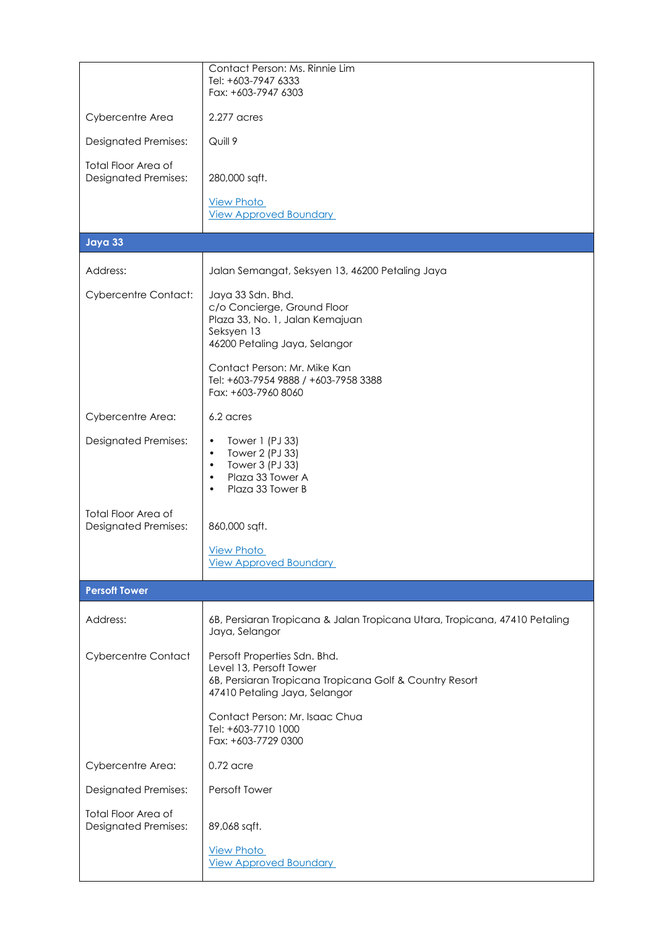|                                                           | Contact Person: Ms. Rinnie Lim                                                                                                                      |
|-----------------------------------------------------------|-----------------------------------------------------------------------------------------------------------------------------------------------------|
|                                                           | Tel: +603-7947 6333<br>Fax: +603-7947 6303                                                                                                          |
| Cybercentre Area                                          | 2.277 acres                                                                                                                                         |
| <b>Designated Premises:</b>                               | Quill 9                                                                                                                                             |
| <b>Total Floor Area of</b><br><b>Designated Premises:</b> | 280,000 sqft.                                                                                                                                       |
|                                                           | <b>View Photo</b><br><b>View Approved Boundary</b>                                                                                                  |
| Jaya 33                                                   |                                                                                                                                                     |
|                                                           |                                                                                                                                                     |
| Address:                                                  | Jalan Semangat, Seksyen 13, 46200 Petaling Jaya                                                                                                     |
| <b>Cybercentre Contact:</b>                               | Jaya 33 Sdn. Bhd.<br>c/o Concierge, Ground Floor<br>Plaza 33, No. 1, Jalan Kemajuan<br>Seksyen 13                                                   |
|                                                           | 46200 Petaling Jaya, Selangor                                                                                                                       |
|                                                           | Contact Person: Mr. Mike Kan<br>Tel: +603-7954 9888 / +603-7958 3388<br>Fax: +603-7960 8060                                                         |
| Cybercentre Area:                                         | 6.2 acres                                                                                                                                           |
| <b>Designated Premises:</b>                               | Tower 1 (PJ 33)<br>$\bullet$                                                                                                                        |
|                                                           | Tower 2 (PJ 33)<br>$\bullet$<br>Tower 3 (PJ 33)<br>$\bullet$                                                                                        |
|                                                           | Plaza 33 Tower A<br>$\bullet$<br>Plaza 33 Tower B<br>$\bullet$                                                                                      |
|                                                           |                                                                                                                                                     |
| <b>Total Floor Area of</b><br><b>Designated Premises:</b> | 860,000 sqft.                                                                                                                                       |
|                                                           | <b>View Photo</b><br><b>View Approved Boundary</b>                                                                                                  |
| <b>Persoft Tower</b>                                      |                                                                                                                                                     |
|                                                           |                                                                                                                                                     |
| Address:                                                  | 6B, Persiaran Tropicana & Jalan Tropicana Utara, Tropicana, 47410 Petaling<br>Jaya, Selangor                                                        |
| <b>Cybercentre Contact</b>                                | Persoft Properties Sdn. Bhd.<br>Level 13, Persoft Tower<br>6B, Persiaran Tropicana Tropicana Golf & Country Resort<br>47410 Petaling Jaya, Selangor |
|                                                           | Contact Person: Mr. Isaac Chua<br>Tel: +603-7710 1000<br>Fax: +603-7729 0300                                                                        |
| Cybercentre Area:                                         | $0.72$ acre                                                                                                                                         |
| <b>Designated Premises:</b>                               | Persoft Tower                                                                                                                                       |
| <b>Total Floor Area of</b><br><b>Designated Premises:</b> | 89,068 sqft.                                                                                                                                        |
|                                                           | <b>View Photo</b><br><b>View Approved Boundary</b>                                                                                                  |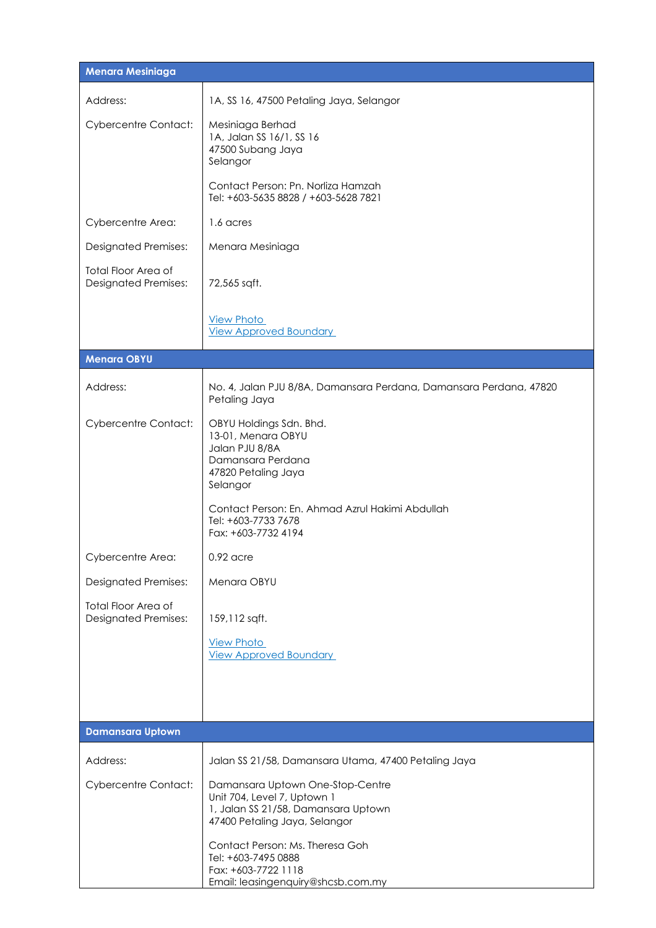| <b>Menara Mesiniaga</b>                                   |                                                                                                                                                                                                   |  |
|-----------------------------------------------------------|---------------------------------------------------------------------------------------------------------------------------------------------------------------------------------------------------|--|
| Address:                                                  | 1A, SS 16, 47500 Petaling Jaya, Selangor                                                                                                                                                          |  |
| <b>Cybercentre Contact:</b>                               | Mesiniaga Berhad<br>1A, Jalan SS 16/1, SS 16<br>47500 Subang Jaya<br>Selangor                                                                                                                     |  |
|                                                           | Contact Person: Pn. Norliza Hamzah<br>Tel: +603-5635 8828 / +603-5628 7821                                                                                                                        |  |
| Cybercentre Area:                                         | 1.6 acres                                                                                                                                                                                         |  |
| <b>Designated Premises:</b>                               | Menara Mesiniaga                                                                                                                                                                                  |  |
| <b>Total Floor Area of</b><br><b>Designated Premises:</b> | 72,565 sqft.                                                                                                                                                                                      |  |
|                                                           | <b>View Photo</b><br><b>View Approved Boundary</b>                                                                                                                                                |  |
| <b>Menara OBYU</b>                                        |                                                                                                                                                                                                   |  |
| Address:                                                  | No. 4, Jalan PJU 8/8A, Damansara Perdana, Damansara Perdana, 47820<br>Petaling Jaya                                                                                                               |  |
| <b>Cybercentre Contact:</b>                               | OBYU Holdings Sdn. Bhd.<br>13-01, Menara OBYU<br>Jalan PJU 8/8A<br>Damansara Perdana<br>47820 Petaling Jaya<br>Selangor<br>Contact Person: En. Ahmad Azrul Hakimi Abdullah<br>Tel: +603-7733 7678 |  |
|                                                           | Fax: +603-7732 4194                                                                                                                                                                               |  |
| Cybercentre Area:                                         | $0.92$ acre                                                                                                                                                                                       |  |
| <b>Designated Premises:</b>                               | Menara OBYU                                                                                                                                                                                       |  |
| <b>Total Floor Area of</b><br><b>Designated Premises:</b> | 159, 112 sqft.                                                                                                                                                                                    |  |
|                                                           | <b>View Photo</b><br><b>View Approved Boundary</b>                                                                                                                                                |  |
|                                                           |                                                                                                                                                                                                   |  |
| <b>Damansara Uptown</b>                                   |                                                                                                                                                                                                   |  |
| Address:                                                  | Jalan SS 21/58, Damansara Utama, 47400 Petaling Jaya                                                                                                                                              |  |
| <b>Cybercentre Contact:</b>                               | Damansara Uptown One-Stop-Centre<br>Unit 704, Level 7, Uptown 1<br>1, Jalan SS 21/58, Damansara Uptown<br>47400 Petaling Jaya, Selangor                                                           |  |
|                                                           | Contact Person: Ms. Theresa Goh<br>Tel: +603-7495 0888<br>Fax: +603-7722 1118<br>Email: leasingenquiry@shcsb.com.my                                                                               |  |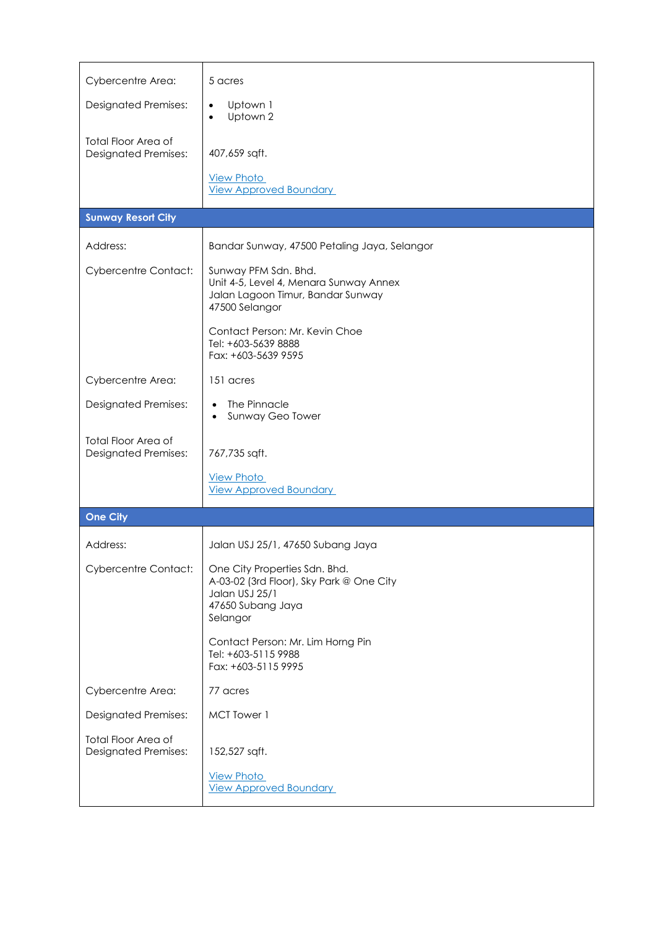| Cybercentre Area:                                         | 5 acres                                                                                                                                                                                               |
|-----------------------------------------------------------|-------------------------------------------------------------------------------------------------------------------------------------------------------------------------------------------------------|
| <b>Designated Premises:</b>                               | Uptown 1<br>$\bullet$<br>Uptown 2<br>$\bullet$                                                                                                                                                        |
| Total Floor Area of<br><b>Designated Premises:</b>        | 407,659 sqft.<br><b>View Photo</b><br><b>View Approved Boundary</b>                                                                                                                                   |
| <b>Sunway Resort City</b>                                 |                                                                                                                                                                                                       |
| Address:                                                  | Bandar Sunway, 47500 Petaling Jaya, Selangor                                                                                                                                                          |
| <b>Cybercentre Contact:</b>                               | Sunway PFM Sdn. Bhd.<br>Unit 4-5, Level 4, Menara Sunway Annex<br>Jalan Lagoon Timur, Bandar Sunway<br>47500 Selangor<br>Contact Person: Mr. Kevin Choe<br>Tel: +603-5639 8888<br>Fax: +603-5639 9595 |
| Cybercentre Area:                                         | 151 acres                                                                                                                                                                                             |
| <b>Designated Premises:</b>                               | The Pinnacle<br>$\bullet$<br>Sunway Geo Tower<br>$\bullet$                                                                                                                                            |
| Total Floor Area of<br><b>Designated Premises:</b>        | 767,735 sqft.                                                                                                                                                                                         |
|                                                           | <b>View Photo</b><br><b>View Approved Boundary</b>                                                                                                                                                    |
| <b>One City</b>                                           |                                                                                                                                                                                                       |
| Address:                                                  | Jalan USJ 25/1, 47650 Subang Jaya                                                                                                                                                                     |
| <b>Cybercentre Contact:</b>                               | One City Properties Sdn. Bhd.<br>A-03-02 (3rd Floor), Sky Park @ One City<br>Jalan USJ 25/1<br>47650 Subang Jaya<br>Selangor<br>Contact Person: Mr. Lim Horng Pin                                     |
|                                                           | Tel: +603-5115 9988<br>Fax: +603-5115 9995                                                                                                                                                            |
| Cybercentre Area:                                         | 77 acres                                                                                                                                                                                              |
| <b>Designated Premises:</b>                               | MCT Tower 1                                                                                                                                                                                           |
| <b>Total Floor Area of</b><br><b>Designated Premises:</b> | 152,527 sqft.                                                                                                                                                                                         |
|                                                           | <b>View Photo</b><br><b>View Approved Boundary</b>                                                                                                                                                    |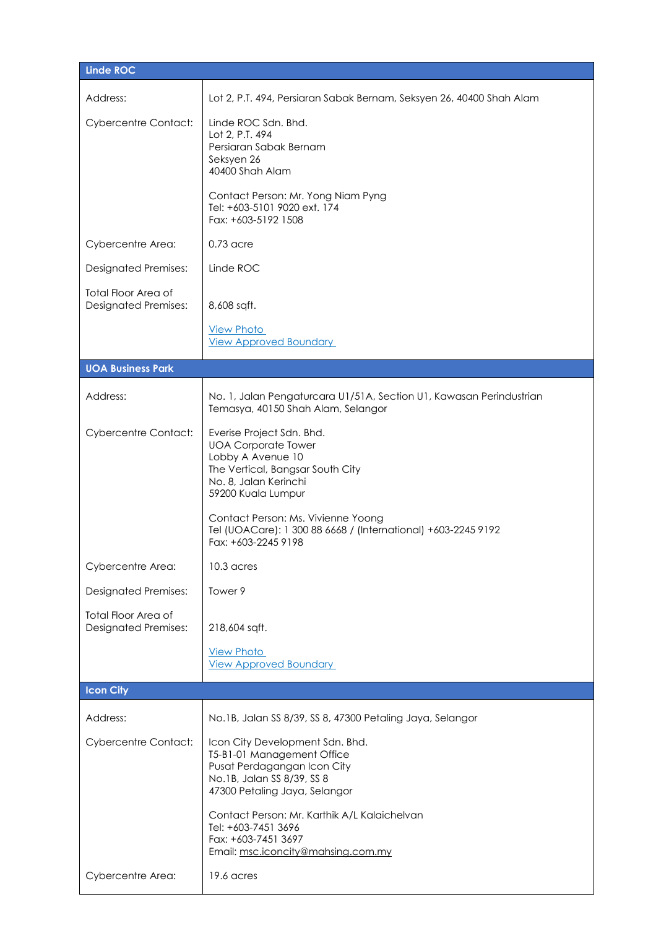| <b>Linde ROC</b>                                          |                                                                                                                                                                                                                                                                        |
|-----------------------------------------------------------|------------------------------------------------------------------------------------------------------------------------------------------------------------------------------------------------------------------------------------------------------------------------|
| Address:                                                  | Lot 2, P.T. 494, Persiaran Sabak Bernam, Seksyen 26, 40400 Shah Alam                                                                                                                                                                                                   |
| <b>Cybercentre Contact:</b>                               | Linde ROC Sdn. Bhd.<br>Lot 2, P.T. 494<br>Persiaran Sabak Bernam<br>Seksyen 26<br>40400 Shah Alam                                                                                                                                                                      |
|                                                           | Contact Person: Mr. Yong Niam Pyng<br>Tel: +603-5101 9020 ext. 174<br>Fax: +603-5192 1508                                                                                                                                                                              |
| Cybercentre Area:                                         | $0.73$ acre                                                                                                                                                                                                                                                            |
| <b>Designated Premises:</b>                               | Linde ROC                                                                                                                                                                                                                                                              |
| <b>Total Floor Area of</b><br><b>Designated Premises:</b> | 8,608 sqft.                                                                                                                                                                                                                                                            |
|                                                           | <b>View Photo</b><br><b>View Approved Boundary</b>                                                                                                                                                                                                                     |
| <b>UOA Business Park</b>                                  |                                                                                                                                                                                                                                                                        |
| Address:                                                  | No. 1, Jalan Pengaturcara U1/51A, Section U1, Kawasan Perindustrian<br>Temasya, 40150 Shah Alam, Selangor                                                                                                                                                              |
| <b>Cybercentre Contact:</b>                               | Everise Project Sdn. Bhd.<br><b>UOA Corporate Tower</b><br>Lobby A Avenue 10<br>The Vertical, Bangsar South City<br>No. 8, Jalan Kerinchi<br>59200 Kuala Lumpur<br>Contact Person: Ms. Vivienne Yoong<br>Tel (UOACare): 1 300 88 6668 / (International) +603-2245 9192 |
|                                                           | Fax: +603-2245 9198                                                                                                                                                                                                                                                    |
| Cybercentre Area:                                         | 10.3 acres<br>Tower 9                                                                                                                                                                                                                                                  |
| <b>Designated Premises:</b><br><b>Total Floor Area of</b> |                                                                                                                                                                                                                                                                        |
| <b>Designated Premises:</b>                               | 218,604 sqft.                                                                                                                                                                                                                                                          |
|                                                           | <b>View Photo</b><br><b>View Approved Boundary</b>                                                                                                                                                                                                                     |
| <b>Icon City</b>                                          |                                                                                                                                                                                                                                                                        |
| Address:                                                  | No.1B, Jalan SS 8/39, SS 8, 47300 Petaling Jaya, Selangor                                                                                                                                                                                                              |
| <b>Cybercentre Contact:</b>                               | Icon City Development Sdn. Bhd.<br>T5-B1-01 Management Office<br>Pusat Perdagangan Icon City<br>No.1B, Jalan SS 8/39, SS 8<br>47300 Petaling Jaya, Selangor                                                                                                            |
|                                                           | Contact Person: Mr. Karthik A/L Kalaichelvan<br>Tel: +603-7451 3696<br>Fax: +603-7451 3697<br>Email: msc.iconcity@mahsing.com.my                                                                                                                                       |
| Cybercentre Area:                                         | 19.6 acres                                                                                                                                                                                                                                                             |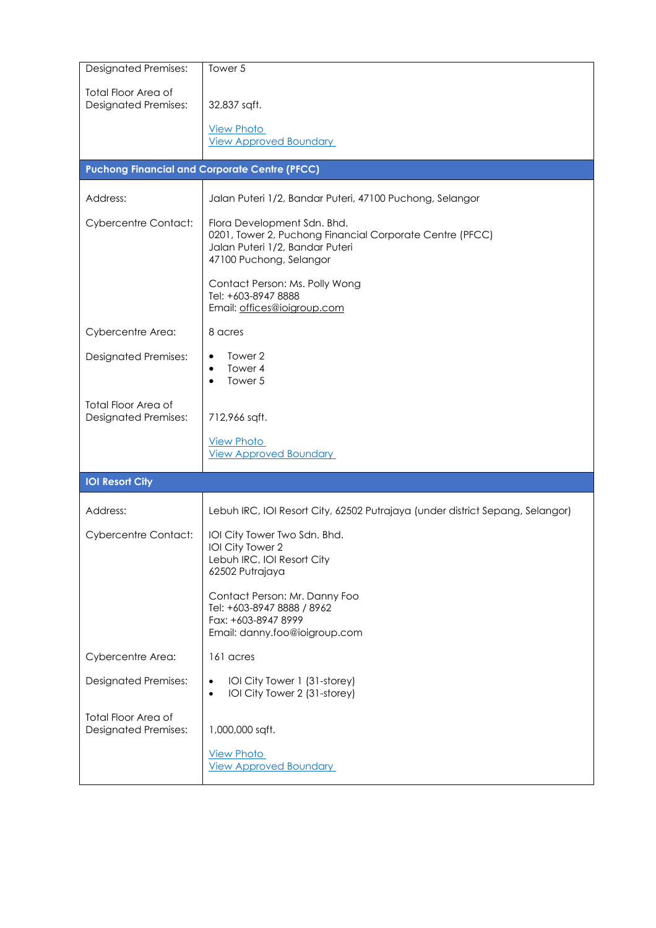| <b>Designated Premises:</b>                               | Tower 5                                                                                                                                               |
|-----------------------------------------------------------|-------------------------------------------------------------------------------------------------------------------------------------------------------|
| <b>Total Floor Area of</b><br><b>Designated Premises:</b> | 32,837 sqft.<br><b>View Photo</b>                                                                                                                     |
|                                                           | <b>View Approved Boundary</b>                                                                                                                         |
|                                                           | <b>Puchong Financial and Corporate Centre (PFCC)</b>                                                                                                  |
| Address:                                                  | Jalan Puteri 1/2, Bandar Puteri, 47100 Puchong, Selangor                                                                                              |
| <b>Cybercentre Contact:</b>                               | Flora Development Sdn. Bhd.<br>0201, Tower 2, Puchong Financial Corporate Centre (PFCC)<br>Jalan Puteri 1/2, Bandar Puteri<br>47100 Puchong, Selangor |
|                                                           | Contact Person: Ms. Polly Wong<br>Tel: +603-8947 8888<br>Email: offices@ioigroup.com                                                                  |
| Cybercentre Area:                                         | 8 acres                                                                                                                                               |
| <b>Designated Premises:</b>                               | Tower 2<br>٠<br>Tower 4<br>٠<br>Tower 5<br>٠                                                                                                          |
| <b>Total Floor Area of</b><br><b>Designated Premises:</b> | 712,966 sqft.                                                                                                                                         |
|                                                           | <b>View Photo</b><br><b>View Approved Boundary</b>                                                                                                    |
| <b>IOI Resort City</b>                                    |                                                                                                                                                       |
| Address:                                                  | Lebuh IRC, IOI Resort City, 62502 Putrajaya (under district Sepang, Selangor)                                                                         |
| <b>Cybercentre Contact:</b>                               | IOI City Tower Two Sdn. Bhd.<br>IOI City Tower 2<br>Lebuh IRC, IOI Resort City<br>62502 Putrajaya                                                     |
|                                                           | Contact Person: Mr. Danny Foo<br>Tel: +603-8947 8888 / 8962<br>Fax: +603-8947 8999<br>Email: danny.foo@ioigroup.com                                   |
| Cybercentre Area:                                         | 161 acres                                                                                                                                             |
| <b>Designated Premises:</b>                               | IOI City Tower 1 (31-storey)<br>$\bullet$<br>IOI City Tower 2 (31-storey)<br>$\bullet$                                                                |
| <b>Total Floor Area of</b><br><b>Designated Premises:</b> | 1,000,000 sqft.                                                                                                                                       |
|                                                           | <b>View Photo</b><br><b>View Approved Boundary</b>                                                                                                    |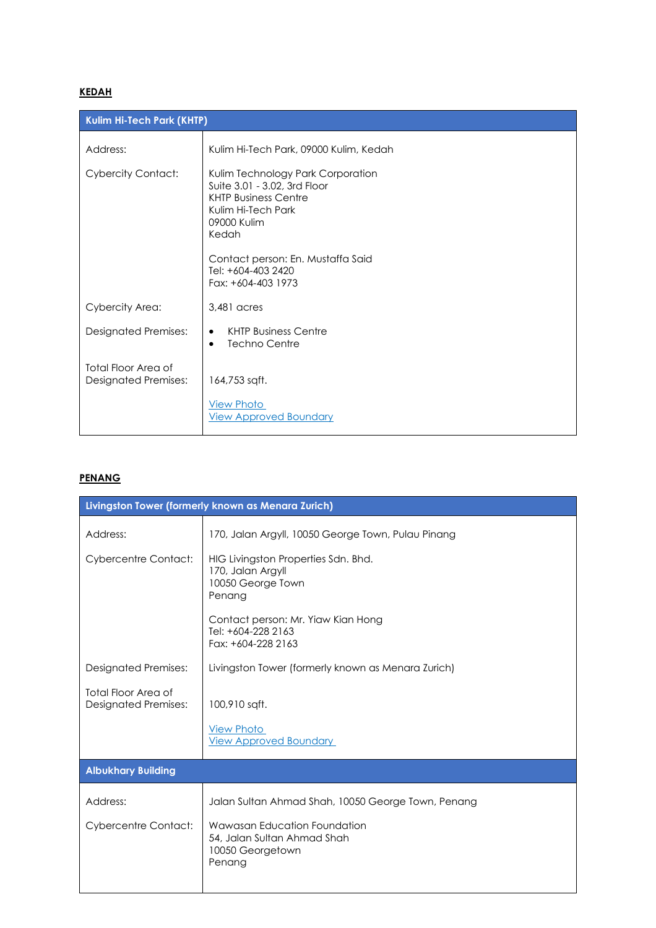### **KEDAH**

| Kulim Hi-Tech Park (KHTP)                          |                                                                                                                                                                                                                                 |
|----------------------------------------------------|---------------------------------------------------------------------------------------------------------------------------------------------------------------------------------------------------------------------------------|
| Address:                                           | Kulim Hi-Tech Park, 09000 Kulim, Kedah                                                                                                                                                                                          |
| <b>Cybercity Contact:</b>                          | Kulim Technology Park Corporation<br>Suite 3.01 - 3.02, 3rd Floor<br><b>KHTP Business Centre</b><br>Kulim Hi-Tech Park<br>09000 Kulim<br>Kedah<br>Contact person: En. Mustaffa Said<br>Tel: +604-403 2420<br>Fax: +604-403 1973 |
| Cybercity Area:                                    | 3,481 acres                                                                                                                                                                                                                     |
| <b>Designated Premises:</b>                        | <b>KHTP Business Centre</b><br>$\bullet$<br>Techno Centre<br>$\bullet$                                                                                                                                                          |
| Total Floor Area of<br><b>Designated Premises:</b> | 164,753 sqft.<br><b>View Photo</b><br><b>View Approved Boundary</b>                                                                                                                                                             |

### **PENANG**

| Livingston Tower (formerly known as Menara Zurich)        |                                                                                                                               |  |
|-----------------------------------------------------------|-------------------------------------------------------------------------------------------------------------------------------|--|
| Address:                                                  | 170, Jalan Argyll, 10050 George Town, Pulau Pinang                                                                            |  |
| <b>Cybercentre Contact:</b>                               | HIG Livingston Properties Sdn. Bhd.<br>170, Jalan Argyll<br>10050 George Town<br>Penang<br>Contact person: Mr. Yiaw Kian Hong |  |
|                                                           | Tel: +604-228 2163<br>Fax: +604-228 2163                                                                                      |  |
| <b>Designated Premises:</b>                               | Livingston Tower (formerly known as Menara Zurich)                                                                            |  |
| <b>Total Floor Area of</b><br><b>Designated Premises:</b> | 100,910 sqft.                                                                                                                 |  |
|                                                           | <b>View Photo</b><br><b>View Approved Boundary</b>                                                                            |  |
| <b>Albukhary Building</b>                                 |                                                                                                                               |  |
| Address:                                                  | Jalan Sultan Ahmad Shah, 10050 George Town, Penang                                                                            |  |
| <b>Cybercentre Contact:</b>                               | Wawasan Education Foundation<br>54, Jalan Sultan Ahmad Shah<br>10050 Georgetown<br>Penang                                     |  |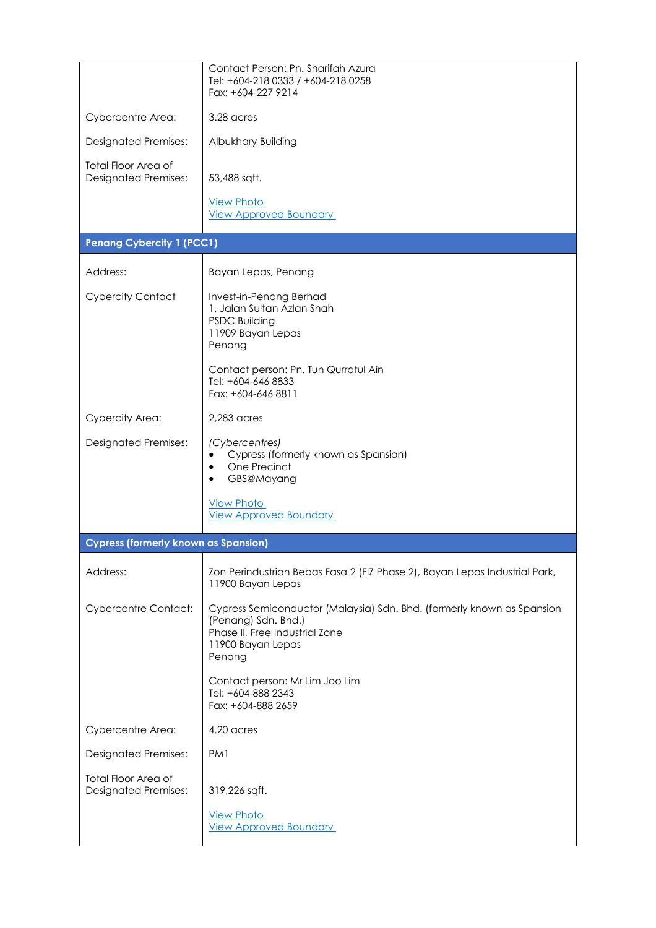|                                                           | Contact Person: Pn. Sharifah Azura<br>Tel: +604-218 0333 / +604-218 0258<br>Fax: +604-227 9214                                                                 |
|-----------------------------------------------------------|----------------------------------------------------------------------------------------------------------------------------------------------------------------|
| Cybercentre Area:                                         | 3.28 acres                                                                                                                                                     |
| <b>Designated Premises:</b>                               | Albukhary Building                                                                                                                                             |
| <b>Total Floor Area of</b><br><b>Designated Premises:</b> | 53,488 sqft.                                                                                                                                                   |
|                                                           | <b>View Photo</b><br><b>View Approved Boundary</b>                                                                                                             |
| <b>Penang Cybercity 1 (PCC1)</b>                          |                                                                                                                                                                |
| Address:                                                  | Bayan Lepas, Penang                                                                                                                                            |
| <b>Cybercity Contact</b>                                  | Invest-in-Penang Berhad<br>1, Jalan Sultan Azlan Shah<br><b>PSDC Building</b><br>11909 Bayan Lepas<br>Penang                                                   |
|                                                           | Contact person: Pn. Tun Qurratul Ain<br>Tel: +604-646 8833<br>Fax: +604-646 8811                                                                               |
| Cybercity Area:                                           | $2,283$ acres                                                                                                                                                  |
| <b>Designated Premises:</b>                               | (Cybercentres)<br>Cypress (formerly known as Spansion)<br>One Precinct<br>GBS@Mayang                                                                           |
|                                                           | <b>View Photo</b><br><b>View Approved Boundary</b>                                                                                                             |
| <b>Cypress (formerly known as Spansion)</b>               |                                                                                                                                                                |
| Address:                                                  | Zon Perindustrian Bebas Fasa 2 (FIZ Phase 2), Bayan Lepas Industrial Park,<br>11900 Bayan Lepas                                                                |
| <b>Cybercentre Contact:</b>                               | Cypress Semiconductor (Malaysia) Sdn. Bhd. (formerly known as Spansion<br>(Penang) Sdn. Bhd.)<br>Phase II, Free Industrial Zone<br>11900 Bayan Lepas<br>Penang |
|                                                           | Contact person: Mr Lim Joo Lim<br>Tel: +604-888 2343<br>Fax: +604-888 2659                                                                                     |
| Cybercentre Area:                                         | 4.20 acres                                                                                                                                                     |
| <b>Designated Premises:</b>                               | PM <sub>1</sub>                                                                                                                                                |
| <b>Total Floor Area of</b><br><b>Designated Premises:</b> | 319,226 sqft.                                                                                                                                                  |
|                                                           | <b>View Photo</b><br><b>View Approved Boundary</b>                                                                                                             |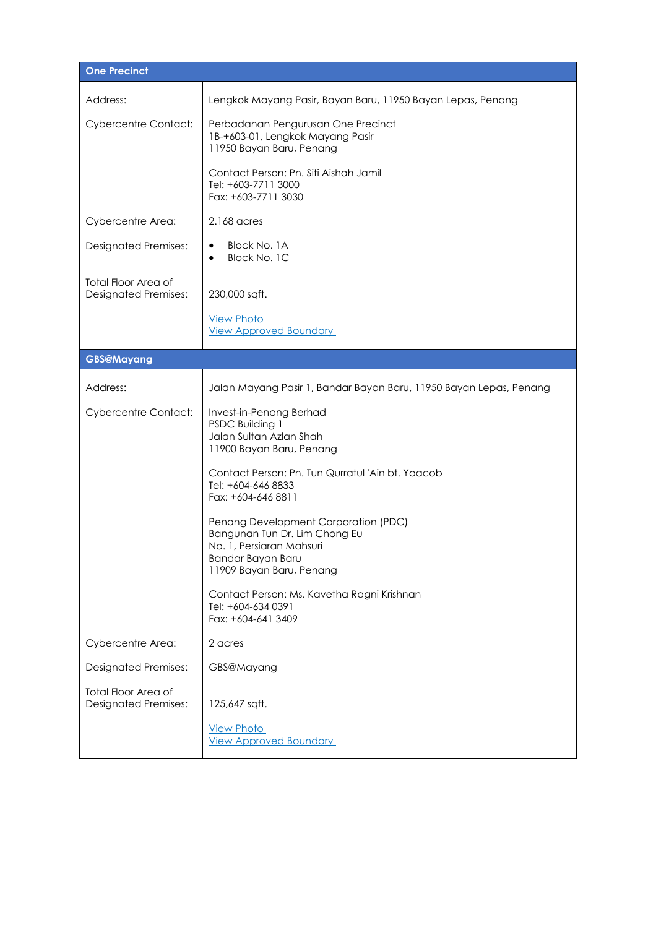| One Precinct                                              |                                                                                                                                                    |  |
|-----------------------------------------------------------|----------------------------------------------------------------------------------------------------------------------------------------------------|--|
| Address:                                                  | Lengkok Mayang Pasir, Bayan Baru, 11950 Bayan Lepas, Penang                                                                                        |  |
| <b>Cybercentre Contact:</b>                               | Perbadanan Pengurusan One Precinct<br>1B-+603-01, Lengkok Mayang Pasir<br>11950 Bayan Baru, Penang                                                 |  |
|                                                           | Contact Person: Pn. Siti Aishah Jamil<br>Tel: +603-7711 3000<br>Fax: +603-7711 3030                                                                |  |
| Cybercentre Area:                                         | 2.168 acres                                                                                                                                        |  |
| <b>Designated Premises:</b>                               | Block No. 1A<br>Block No. 1C<br>$\bullet$                                                                                                          |  |
| <b>Total Floor Area of</b><br><b>Designated Premises:</b> | 230,000 sqft.                                                                                                                                      |  |
|                                                           | <b>View Photo</b><br><b>View Approved Boundary</b>                                                                                                 |  |
| <b>GBS@Mayang</b>                                         |                                                                                                                                                    |  |
| Address:                                                  | Jalan Mayang Pasir 1, Bandar Bayan Baru, 11950 Bayan Lepas, Penang                                                                                 |  |
| <b>Cybercentre Contact:</b>                               | Invest-in-Penang Berhad<br>PSDC Building 1<br>Jalan Sultan Azlan Shah<br>11900 Bayan Baru, Penang                                                  |  |
|                                                           | Contact Person: Pn. Tun Qurratul 'Ain bt. Yaacob<br>Tel: +604-646 8833<br>Fax: +604-646 8811                                                       |  |
|                                                           | Penang Development Corporation (PDC)<br>Bangunan Tun Dr. Lim Chong Eu<br>No. 1, Persiaran Mahsuri<br>Bandar Bayan Baru<br>11909 Bayan Baru, Penang |  |
|                                                           | Contact Person: Ms. Kavetha Ragni Krishnan<br>Tel: +604-634 0391<br>Fax: +604-641 3409                                                             |  |
| Cybercentre Area:                                         | 2 acres                                                                                                                                            |  |
| <b>Designated Premises:</b>                               | GBS@Mayang                                                                                                                                         |  |
| <b>Total Floor Area of</b><br><b>Designated Premises:</b> | 125,647 sqft.                                                                                                                                      |  |
|                                                           | <b>View Photo</b><br><b>View Approved Boundary</b>                                                                                                 |  |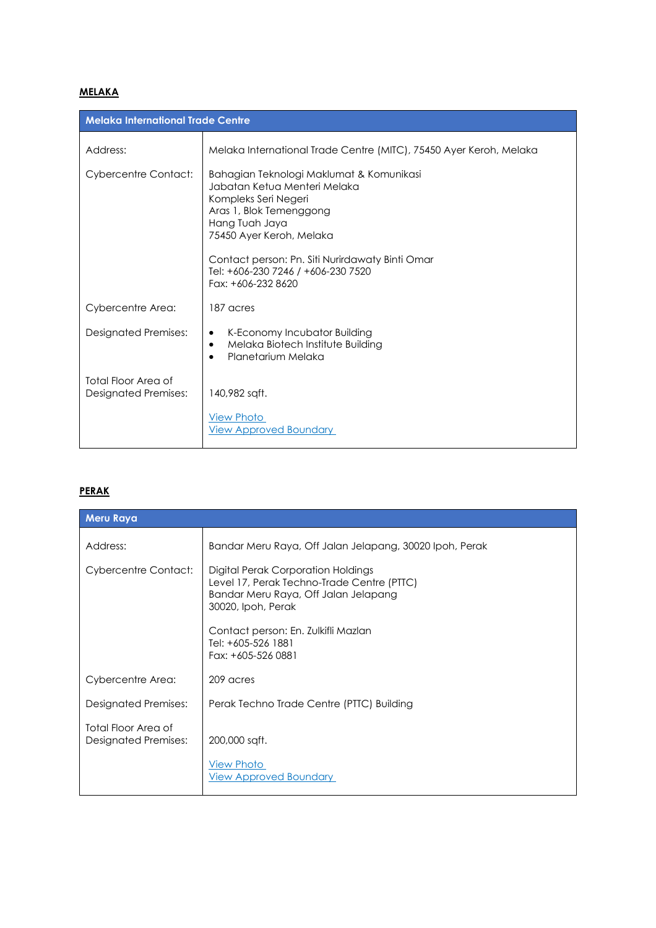# **MELAKA**

| <b>Melaka International Trade Centre</b>           |                                                                                                                                                                                                                                                                                          |
|----------------------------------------------------|------------------------------------------------------------------------------------------------------------------------------------------------------------------------------------------------------------------------------------------------------------------------------------------|
| Address:                                           | Melaka International Trade Centre (MITC), 75450 Ayer Keroh, Melaka                                                                                                                                                                                                                       |
| <b>Cybercentre Contact:</b>                        | Bahagian Teknologi Maklumat & Komunikasi<br>Jabatan Ketua Menteri Melaka<br>Kompleks Seri Negeri<br>Aras 1, Blok Temenggong<br>Hang Tuah Jaya<br>75450 Ayer Keroh, Melaka<br>Contact person: Pn. Siti Nurirdawaty Binti Omar<br>Tel: +606-230 7246 / +606-230 7520<br>Fax: +606-232 8620 |
| Cybercentre Area:                                  | 187 acres                                                                                                                                                                                                                                                                                |
| <b>Designated Premises:</b>                        | K-Economy Incubator Building<br>٠<br>Melaka Biotech Institute Building<br>٠<br>Planetarium Melaka<br>$\bullet$                                                                                                                                                                           |
| Total Floor Area of<br><b>Designated Premises:</b> | 140,982 sqft.<br><b>View Photo</b><br><b>View Approved Boundary</b>                                                                                                                                                                                                                      |

### **PERAK**

| <b>Meru Raya</b>                                   |                                                                                                                                                |
|----------------------------------------------------|------------------------------------------------------------------------------------------------------------------------------------------------|
| Address:                                           | Bandar Meru Raya, Off Jalan Jelapang, 30020 Ipoh, Perak                                                                                        |
| <b>Cybercentre Contact:</b>                        | Digital Perak Corporation Holdings<br>Level 17, Perak Techno-Trade Centre (PTTC)<br>Bandar Meru Raya, Off Jalan Jelapang<br>30020, Ipoh, Perak |
|                                                    | Contact person: En. Zulkifli Mazlan<br>Tel: +605-526 1881<br>Fax: +605-526 0881                                                                |
| Cybercentre Area:                                  | 209 acres                                                                                                                                      |
| <b>Designated Premises:</b>                        | Perak Techno Trade Centre (PTTC) Building                                                                                                      |
| Total Floor Area of<br><b>Designated Premises:</b> | 200,000 sqft.                                                                                                                                  |
|                                                    | <b>View Photo</b><br><b>View Approved Boundary</b>                                                                                             |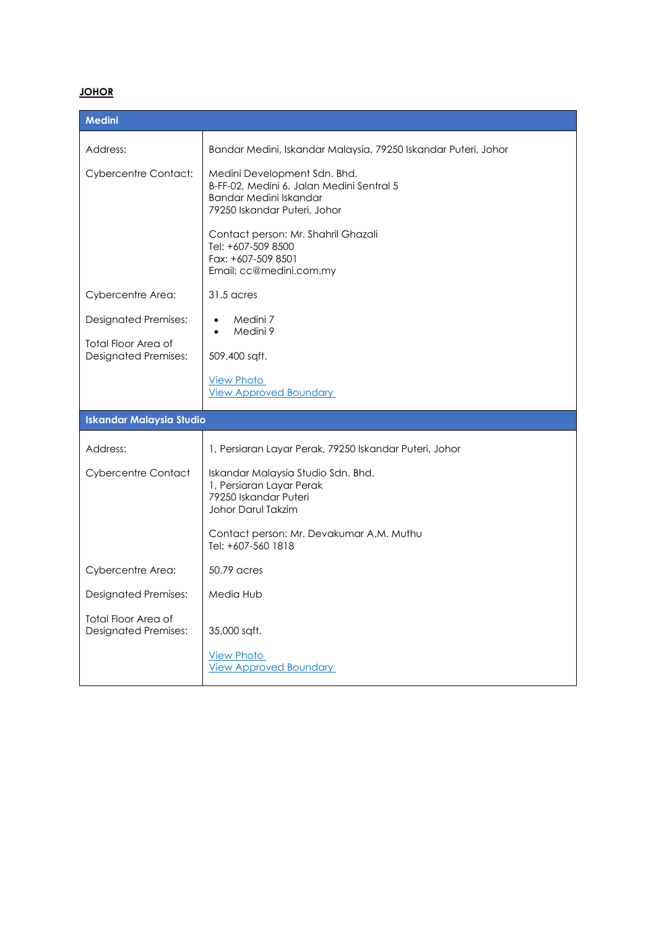# **JOHOR**

| Medini                                                    |                                                                                                                                     |
|-----------------------------------------------------------|-------------------------------------------------------------------------------------------------------------------------------------|
| Address:                                                  | Bandar Medini, Iskandar Malaysia, 79250 Iskandar Puteri, Johor                                                                      |
| <b>Cybercentre Contact:</b>                               | Medini Development Sdn. Bhd.<br>B-FF-02, Medini 6, Jalan Medini Sentral 5<br>Bandar Medini Iskandar<br>79250 Iskandar Puteri, Johor |
|                                                           | Contact person: Mr. Shahril Ghazali<br>Tel: +607-509 8500<br>Fax: +607-509 8501<br>Email: cc@medini.com.my                          |
| Cybercentre Area:                                         | 31.5 acres                                                                                                                          |
| <b>Designated Premises:</b>                               | Medini 7<br>$\bullet$<br>Medini 9                                                                                                   |
| Total Floor Area of<br><b>Designated Premises:</b>        | 509,400 sqft.                                                                                                                       |
|                                                           | <b>View Photo</b><br><b>View Approved Boundary</b>                                                                                  |
| <b>Iskandar Malaysia Studio</b>                           |                                                                                                                                     |
| Address:                                                  | 1, Persiaran Layar Perak, 79250 Iskandar Puteri, Johor                                                                              |
| <b>Cybercentre Contact</b>                                | Iskandar Malaysia Studio Sdn. Bhd.<br>1, Persiaran Layar Perak<br>79250 Iskandar Puteri<br>Johor Darul Takzim                       |
|                                                           | Contact person: Mr. Devakumar A.M. Muthu<br>Tel: +607-560 1818                                                                      |
| Cybercentre Area:                                         | 50.79 acres                                                                                                                         |
| <b>Designated Premises:</b>                               | Media Hub                                                                                                                           |
| <b>Total Floor Area of</b><br><b>Designated Premises:</b> | 35,000 sqft.                                                                                                                        |
|                                                           | <b>View Photo</b><br><b>View Approved Boundary</b>                                                                                  |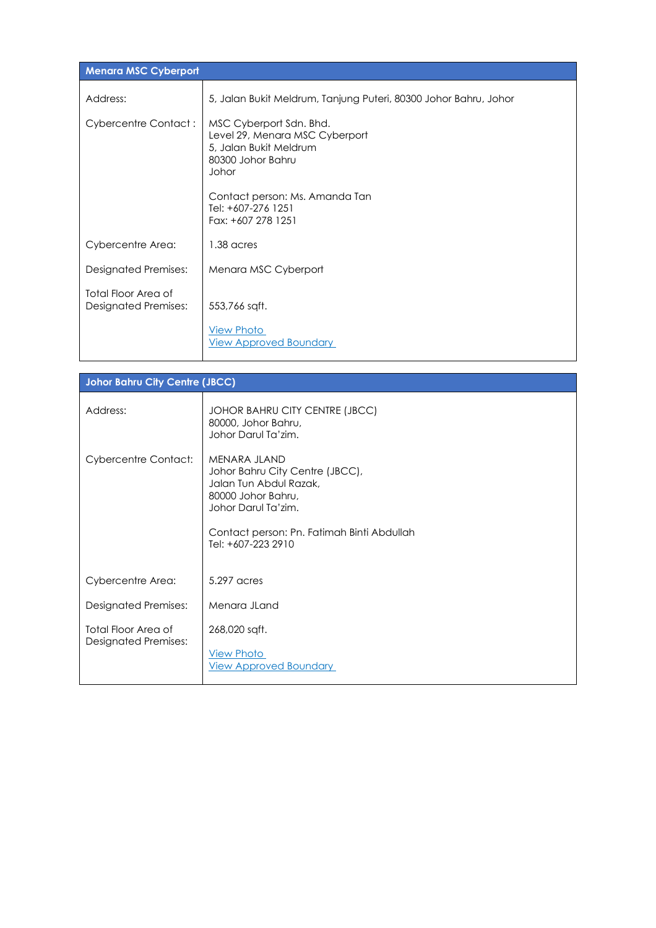| <b>Menara MSC Cyberport</b>                        |                                                                                                                   |
|----------------------------------------------------|-------------------------------------------------------------------------------------------------------------------|
| Address:                                           | 5, Jalan Bukit Meldrum, Tanjung Puteri, 80300 Johor Bahru, Johor                                                  |
| <b>Cybercentre Contact:</b>                        | MSC Cyberport Sdn. Bhd.<br>Level 29, Menara MSC Cyberport<br>5, Jalan Bukit Meldrum<br>80300 Johor Bahru<br>Johor |
|                                                    | Contact person: Ms. Amanda Tan<br>Tel: +607-276 1251<br>Fax: +607 278 1251                                        |
| Cybercentre Area:                                  | 1.38 acres                                                                                                        |
| <b>Designated Premises:</b>                        | Menara MSC Cyberport                                                                                              |
| Total Floor Area of<br><b>Designated Premises:</b> | 553,766 sqft.                                                                                                     |
|                                                    | <b>View Photo</b><br><b>View Approved Boundary</b>                                                                |

| <b>Johor Bahru City Centre (JBCC)</b>              |                                                                                                                                                                                            |  |
|----------------------------------------------------|--------------------------------------------------------------------------------------------------------------------------------------------------------------------------------------------|--|
| Address:                                           | JOHOR BAHRU CITY CENTRE (JBCC)<br>80000, Johor Bahru,<br>Johor Darul Ta'zim.                                                                                                               |  |
| <b>Cybercentre Contact:</b>                        | MENARA JLAND<br>Johor Bahru City Centre (JBCC),<br>Jalan Tun Abdul Razak,<br>80000 Johor Bahru,<br>Johor Darul Ta'zim.<br>Contact person: Pn. Fatimah Binti Abdullah<br>Tel: +607-223 2910 |  |
| Cybercentre Area:                                  | 5.297 acres                                                                                                                                                                                |  |
| Designated Premises:                               | Menara JLand                                                                                                                                                                               |  |
| Total Floor Area of<br><b>Designated Premises:</b> | 268,020 sqft.<br><b>View Photo</b><br><b>View Approved Boundary</b>                                                                                                                        |  |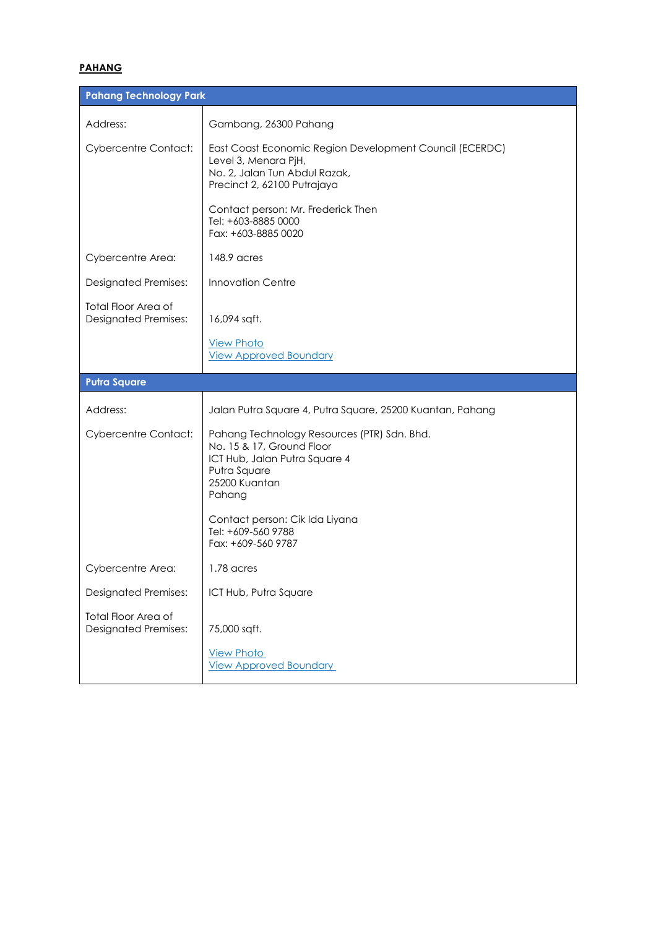## **PAHANG**

| <b>Pahang Technology Park</b>                             |                                                                                                                                                      |
|-----------------------------------------------------------|------------------------------------------------------------------------------------------------------------------------------------------------------|
| Address:                                                  | Gambang, 26300 Pahang                                                                                                                                |
| <b>Cybercentre Contact:</b>                               | East Coast Economic Region Development Council (ECERDC)<br>Level 3, Menara PjH,<br>No. 2, Jalan Tun Abdul Razak,<br>Precinct 2, 62100 Putrajaya      |
|                                                           | Contact person: Mr. Frederick Then<br>Tel: +603-8885 0000<br>Fax: +603-8885 0020                                                                     |
| Cybercentre Area:                                         | 148.9 acres                                                                                                                                          |
| <b>Designated Premises:</b>                               | <b>Innovation Centre</b>                                                                                                                             |
| <b>Total Floor Area of</b><br><b>Designated Premises:</b> | 16,094 sqft.                                                                                                                                         |
|                                                           | <b>View Photo</b><br><b>View Approved Boundary</b>                                                                                                   |
| Putra Square                                              |                                                                                                                                                      |
|                                                           |                                                                                                                                                      |
| Address:                                                  | Jalan Putra Square 4, Putra Square, 25200 Kuantan, Pahang                                                                                            |
| <b>Cybercentre Contact:</b>                               | Pahang Technology Resources (PTR) Sdn. Bhd.<br>No. 15 & 17, Ground Floor<br>ICT Hub, Jalan Putra Square 4<br>Putra Square<br>25200 Kuantan<br>Pahang |
|                                                           | Contact person: Cik Ida Liyana<br>Tel: +609-560 9788<br>Fax: +609-560 9787                                                                           |
| Cybercentre Area:                                         | $1.78$ acres                                                                                                                                         |
| <b>Designated Premises:</b>                               | ICT Hub, Putra Square                                                                                                                                |
| Total Floor Area of<br><b>Designated Premises:</b>        | 75,000 sqft.                                                                                                                                         |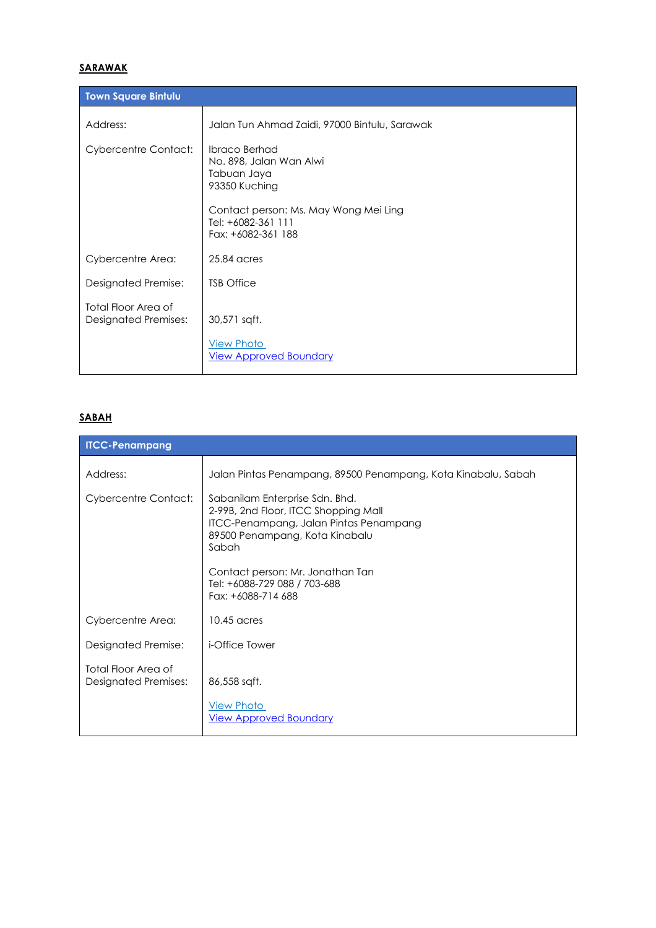# **SARAWAK**

| <b>Town Square Bintulu</b>                         |                                                                                                                                                                      |
|----------------------------------------------------|----------------------------------------------------------------------------------------------------------------------------------------------------------------------|
| Address:                                           | Jalan Tun Ahmad Zaidi, 97000 Bintulu, Sarawak                                                                                                                        |
| <b>Cybercentre Contact:</b>                        | <b>Ibraco Berhad</b><br>No. 898, Jalan Wan Alwi<br>Tabuan Jaya<br>93350 Kuching<br>Contact person: Ms. May Wong Mei Ling<br>Tel: +6082-361 111<br>Fax: +6082-361 188 |
| Cybercentre Area:                                  | 25.84 acres                                                                                                                                                          |
| Designated Premise:                                | <b>TSB Office</b>                                                                                                                                                    |
| Total Floor Area of<br><b>Designated Premises:</b> | 30,571 sqft.<br><b>View Photo</b><br><b>View Approved Boundary</b>                                                                                                   |

### **SABAH**

| <b>ITCC-Penampang</b>                              |                                                                                                                                                                                                                                                       |
|----------------------------------------------------|-------------------------------------------------------------------------------------------------------------------------------------------------------------------------------------------------------------------------------------------------------|
| Address:                                           | Jalan Pintas Penampang, 89500 Penampang, Kota Kinabalu, Sabah                                                                                                                                                                                         |
| <b>Cybercentre Contact:</b>                        | Sabanilam Enterprise Sdn. Bhd.<br>2-99B, 2nd Floor, ITCC Shopping Mall<br>ITCC-Penampang, Jalan Pintas Penampang<br>89500 Penampang, Kota Kinabalu<br>Sabah<br>Contact person: Mr. Jonathan Tan<br>Tel: +6088-729 088 / 703-688<br>Fax: +6088-714 688 |
| Cybercentre Area:                                  | $10.45$ acres                                                                                                                                                                                                                                         |
| Designated Premise:                                | <i>i</i> -Office Tower                                                                                                                                                                                                                                |
| Total Floor Area of<br><b>Designated Premises:</b> | 86,558 sqft.<br><b>View Photo</b><br><b>View Approved Boundary</b>                                                                                                                                                                                    |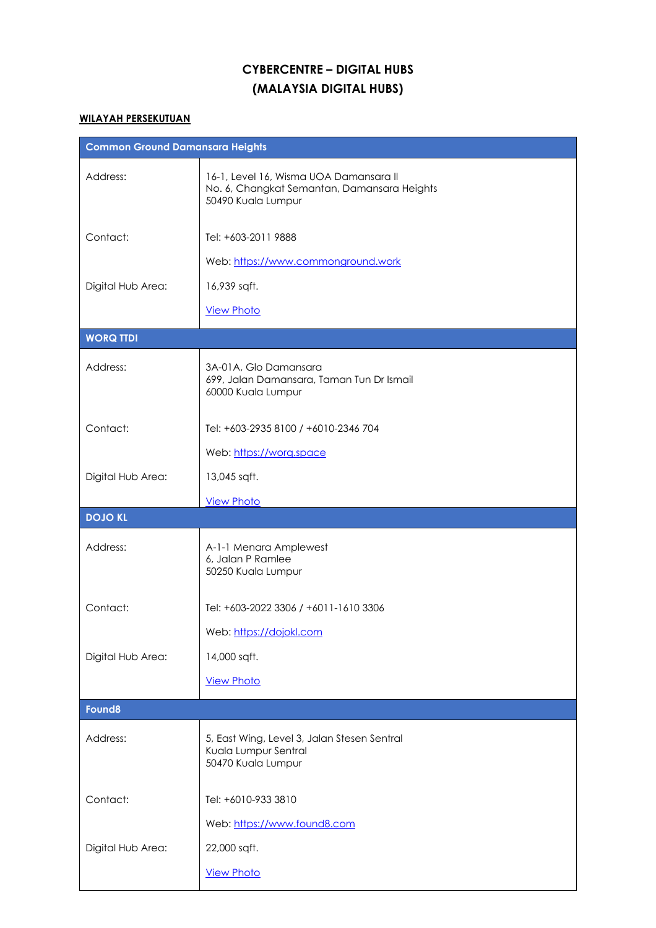# **CYBERCENTRE – DIGITAL HUBS (MALAYSIA DIGITAL HUBS)**

### **WILAYAH PERSEKUTUAN**

| <b>Common Ground Damansara Heights</b> |                                                                                                             |
|----------------------------------------|-------------------------------------------------------------------------------------------------------------|
| Address:                               | 16-1, Level 16, Wisma UOA Damansara II<br>No. 6, Changkat Semantan, Damansara Heights<br>50490 Kuala Lumpur |
| Contact:                               | Tel: +603-2011 9888                                                                                         |
|                                        | Web: https://www.commonground.work                                                                          |
| Digital Hub Area:                      | 16,939 sqft.                                                                                                |
|                                        | <b>View Photo</b>                                                                                           |
| <b>WORQ TTDI</b>                       |                                                                                                             |
| Address:                               | 3A-01A, Glo Damansara<br>699, Jalan Damansara, Taman Tun Dr Ismail<br>60000 Kuala Lumpur                    |
| Contact:                               | Tel: +603-2935 8100 / +6010-2346 704                                                                        |
|                                        | Web: https://worg.space                                                                                     |
| Digital Hub Area:                      | 13,045 sqft.                                                                                                |
|                                        | <b>View Photo</b>                                                                                           |
| <b>DOJO KL</b>                         |                                                                                                             |
| Address:                               | A-1-1 Menara Amplewest<br>6, Jalan P Ramlee<br>50250 Kuala Lumpur                                           |
| Contact:                               | Tel: +603-2022 3306 / +6011-1610 3306                                                                       |
|                                        | Web: https://dojokl.com                                                                                     |
| Digital Hub Area:                      | 14,000 sqft.                                                                                                |
|                                        | <b>View Photo</b>                                                                                           |
| Found <sub>8</sub>                     |                                                                                                             |
| Address:                               | 5, East Wing, Level 3, Jalan Stesen Sentral<br>Kuala Lumpur Sentral<br>50470 Kuala Lumpur                   |
| Contact:                               | Tel: +6010-933 3810                                                                                         |
|                                        | Web: https://www.found8.com                                                                                 |
| Digital Hub Area:                      | 22,000 sqft.                                                                                                |
|                                        | <b>View Photo</b>                                                                                           |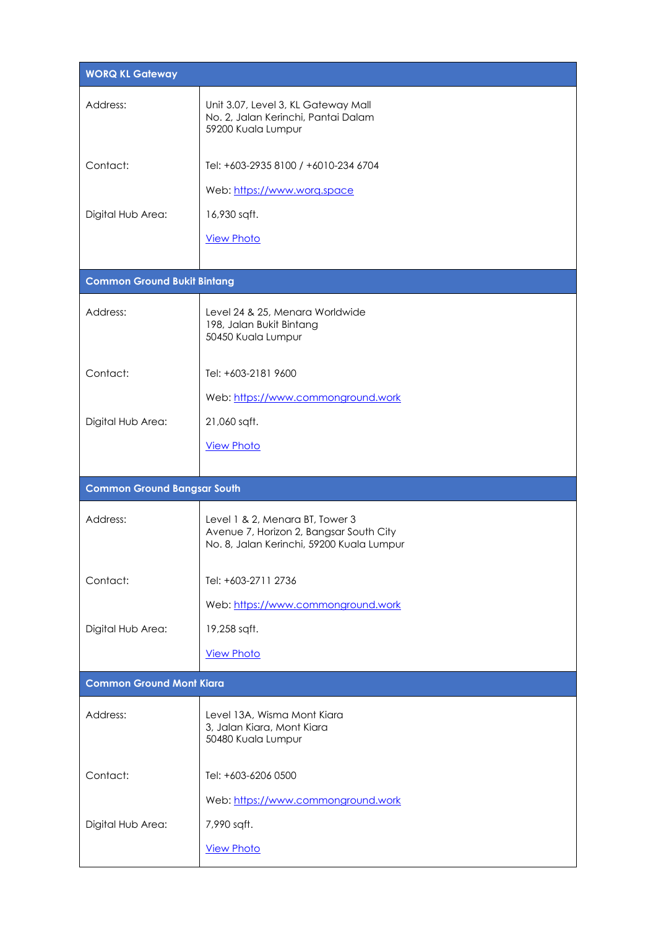| <b>WORQ KL Gateway</b>             |                                                                                                                         |
|------------------------------------|-------------------------------------------------------------------------------------------------------------------------|
| Address:                           | Unit 3.07, Level 3, KL Gateway Mall<br>No. 2, Jalan Kerinchi, Pantai Dalam<br>59200 Kuala Lumpur                        |
| Contact:                           | Tel: +603-2935 8100 / +6010-234 6704                                                                                    |
|                                    | Web: https://www.worg.space                                                                                             |
| Digital Hub Area:                  | 16,930 sqft.                                                                                                            |
|                                    | <b>View Photo</b>                                                                                                       |
| <b>Common Ground Bukit Bintang</b> |                                                                                                                         |
|                                    |                                                                                                                         |
| Address:                           | Level 24 & 25, Menara Worldwide<br>198, Jalan Bukit Bintang<br>50450 Kuala Lumpur                                       |
| Contact:                           | Tel: +603-2181 9600                                                                                                     |
|                                    | Web: https://www.commonground.work                                                                                      |
| Digital Hub Area:                  | 21,060 sqft.                                                                                                            |
|                                    | <b>View Photo</b>                                                                                                       |
|                                    |                                                                                                                         |
| <b>Common Ground Bangsar South</b> |                                                                                                                         |
| Address:                           |                                                                                                                         |
|                                    | Level 1 & 2, Menara BT, Tower 3<br>Avenue 7, Horizon 2, Bangsar South City<br>No. 8, Jalan Kerinchi, 59200 Kuala Lumpur |
| Contact:                           | Tel: +603-2711 2736                                                                                                     |
|                                    | Web: https://www.commonground.work                                                                                      |
| Digital Hub Area:                  | 19,258 sqft.                                                                                                            |
|                                    | <b>View Photo</b>                                                                                                       |
| <b>Common Ground Mont Kiara</b>    |                                                                                                                         |
| Address:                           | Level 13A, Wisma Mont Kiara<br>3, Jalan Kiara, Mont Kiara<br>50480 Kuala Lumpur                                         |
| Contact:                           | Tel: +603-6206 0500                                                                                                     |
|                                    | Web: https://www.commonground.work                                                                                      |
| Digital Hub Area:                  | 7,990 sqft.                                                                                                             |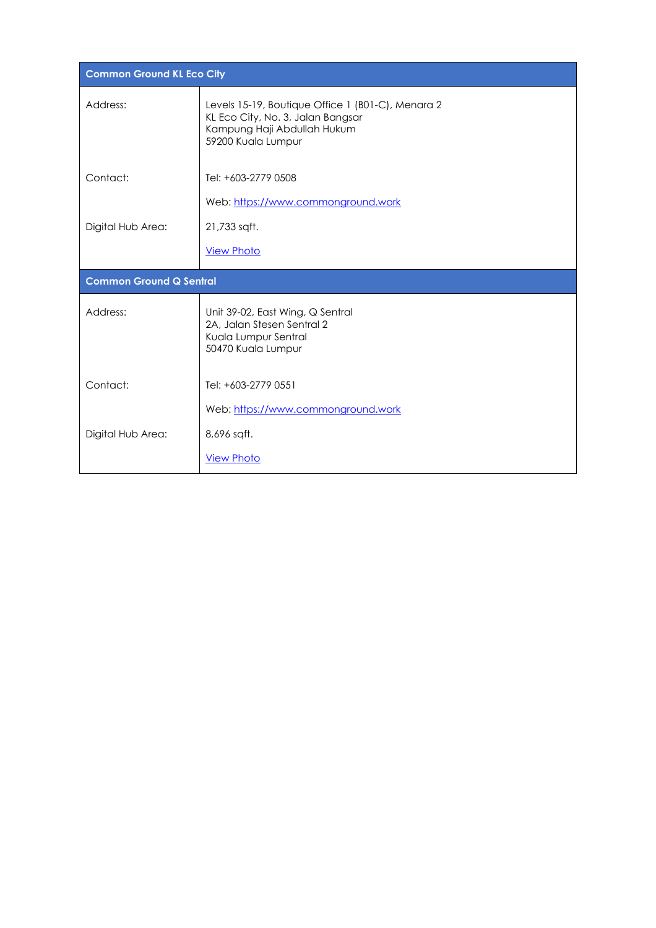| <b>Common Ground KL Eco City</b> |                                                                                                                                             |
|----------------------------------|---------------------------------------------------------------------------------------------------------------------------------------------|
| Address:                         | Levels 15-19, Boutique Office 1 (B01-C), Menara 2<br>KL Eco City, No. 3, Jalan Bangsar<br>Kampung Haji Abdullah Hukum<br>59200 Kuala Lumpur |
| Contact:                         | Tel: +603-2779 0508                                                                                                                         |
|                                  | Web: https://www.commonground.work                                                                                                          |
| Digital Hub Area:                | 21,733 sqft.                                                                                                                                |
|                                  | <b>View Photo</b>                                                                                                                           |
| <b>Common Ground Q Sentral</b>   |                                                                                                                                             |
| Address:                         | Unit 39-02, East Wing, Q Sentral<br>2A, Jalan Stesen Sentral 2<br>Kuala Lumpur Sentral<br>50470 Kuala Lumpur                                |
| Contact:                         | Tel: +603-2779 0551                                                                                                                         |
|                                  | Web: https://www.commonground.work                                                                                                          |
| Digital Hub Area:                | 8,696 sqft.                                                                                                                                 |
|                                  |                                                                                                                                             |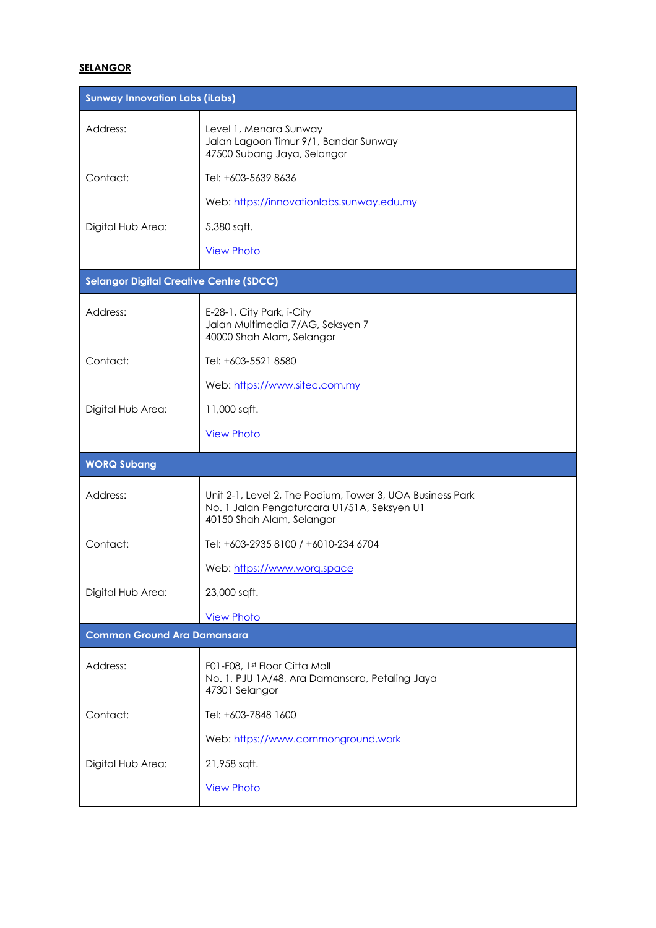### **SELANGOR**

| <b>Sunway Innovation Labs (iLabs)</b>          |                                                                                                                                       |
|------------------------------------------------|---------------------------------------------------------------------------------------------------------------------------------------|
| Address:                                       | Level 1, Menara Sunway<br>Jalan Lagoon Timur 9/1, Bandar Sunway<br>47500 Subang Jaya, Selangor                                        |
| Contact:                                       | Tel: +603-5639 8636                                                                                                                   |
|                                                | Web: https://innovationlabs.sunway.edu.my                                                                                             |
| Digital Hub Area:                              | 5,380 sqft.                                                                                                                           |
|                                                | <b>View Photo</b>                                                                                                                     |
| <b>Selangor Digital Creative Centre (SDCC)</b> |                                                                                                                                       |
| Address:                                       | E-28-1, City Park, i-City<br>Jalan Multimedia 7/AG, Seksyen 7<br>40000 Shah Alam, Selangor                                            |
| Contact:                                       | Tel: +603-5521 8580                                                                                                                   |
|                                                | Web: https://www.sitec.com.my                                                                                                         |
| Digital Hub Area:                              | 11,000 sqft.                                                                                                                          |
|                                                | <b>View Photo</b>                                                                                                                     |
|                                                |                                                                                                                                       |
| <b>WORQ Subang</b>                             |                                                                                                                                       |
| Address:                                       | Unit 2-1, Level 2, The Podium, Tower 3, UOA Business Park<br>No. 1 Jalan Pengaturcara U1/51A, Seksyen U1<br>40150 Shah Alam, Selangor |
| Contact:                                       | Tel: +603-2935 8100 / +6010-234 6704                                                                                                  |
|                                                | Web: https://www.worg.space                                                                                                           |
| Digital Hub Area:                              | 23,000 sqft.                                                                                                                          |
|                                                | <b>View Photo</b>                                                                                                                     |
| <b>Common Ground Ara Damansara</b>             |                                                                                                                                       |
| Address:                                       | F01-F08, 1st Floor Citta Mall<br>No. 1, PJU 1A/48, Ara Damansara, Petaling Jaya<br>47301 Selangor                                     |
| Contact:                                       | Tel: +603-7848 1600                                                                                                                   |
|                                                | Web: https://www.commonground.work                                                                                                    |
| Digital Hub Area:                              | 21,958 sqft.                                                                                                                          |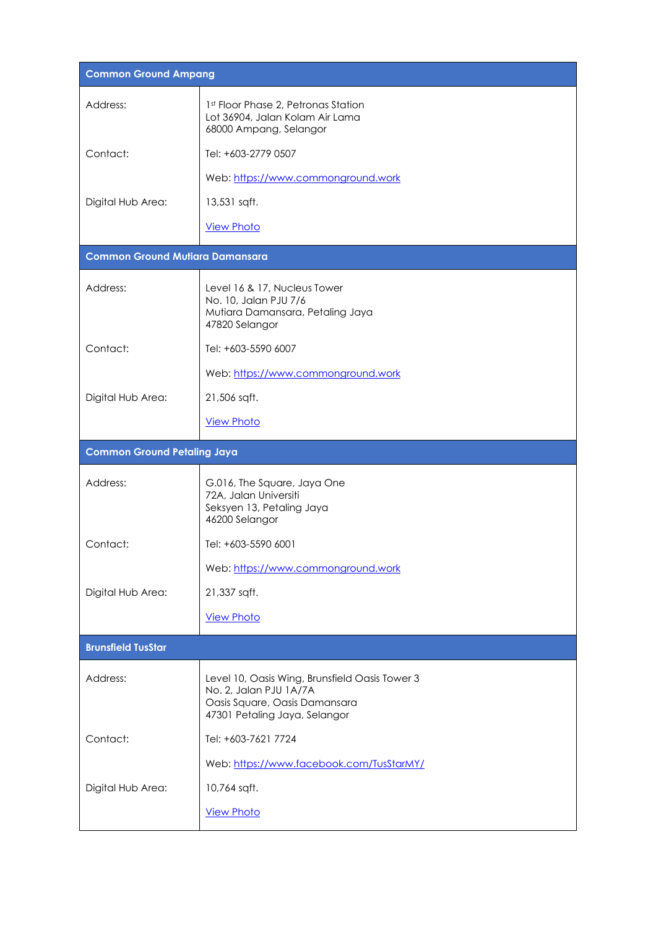| <b>Common Ground Ampang</b>            |                                                                                                                                            |
|----------------------------------------|--------------------------------------------------------------------------------------------------------------------------------------------|
| Address:                               | 1st Floor Phase 2, Petronas Station<br>Lot 36904, Jalan Kolam Air Lama<br>68000 Ampang, Selangor                                           |
| Contact:                               | Tel: +603-2779 0507                                                                                                                        |
|                                        | Web: https://www.commonground.work                                                                                                         |
| Digital Hub Area:                      | 13,531 sqft.                                                                                                                               |
|                                        | <b>View Photo</b>                                                                                                                          |
| <b>Common Ground Mutiara Damansara</b> |                                                                                                                                            |
| Address:                               | Level 16 & 17, Nucleus Tower<br>No. 10, Jalan PJU 7/6<br>Mutiara Damansara, Petaling Jaya<br>47820 Selangor                                |
| Contact:                               | Tel: +603-5590 6007                                                                                                                        |
|                                        | Web: https://www.commonground.work                                                                                                         |
| Digital Hub Area:                      | 21,506 sqft.                                                                                                                               |
|                                        | <b>View Photo</b>                                                                                                                          |
| <b>Common Ground Petaling Jaya</b>     |                                                                                                                                            |
| Address:                               | G.016, The Square, Jaya One<br>72A, Jalan Universiti<br>Seksyen 13, Petaling Jaya<br>46200 Selangor                                        |
| Contact:                               | Tel: +603-5590 6001                                                                                                                        |
|                                        | Web: https://www.commonground.work                                                                                                         |
| Digital Hub Area:                      | 21,337 sqft.                                                                                                                               |
|                                        | <b>View Photo</b>                                                                                                                          |
| <b>Brunsfield TusStar</b>              |                                                                                                                                            |
| Address:                               | Level 10, Oasis Wing, Brunsfield Oasis Tower 3<br>No. 2, Jalan PJU 1A/7A<br>Oasis Square, Oasis Damansara<br>47301 Petaling Jaya, Selangor |
| Contact:                               | Tel: +603-7621 7724                                                                                                                        |
|                                        | Web: https://www.facebook.com/TusStarMY/                                                                                                   |
| Digital Hub Area:                      | 10,764 sqft.                                                                                                                               |
|                                        | <b>View Photo</b>                                                                                                                          |